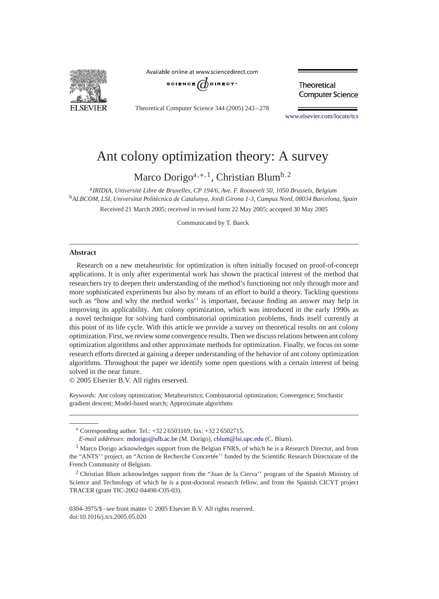

Available online at www.sciencedirect.com



Theoretical Computer Science 344 (2005) 243 – 278

Theoretical **Computer Science** 

[www.elsevier.com/locate/tcs](http://www.elsevier.com/locate/tcs)

# Ant colony optimization theory: A survey

Marco Dorigo<sup>a,∗, 1</sup>, Christian Blum<sup>b, 2</sup>

<sup>a</sup>*IRIDIA, Université Libre de Bruxelles, CP 194/6, Ave. F. Roosevelt 50, 1050 Brussels, Belgium* <sup>b</sup>*ALBCOM, LSI, Universitat Politècnica de Catalunya, Jordi Girona 1-3, Campus Nord, 08034 Barcelona, Spain*

Received 21 March 2005; received in revised form 22 May 2005; accepted 30 May 2005

Communicated by T. Baeck

## **Abstract**

Research on a new metaheuristic for optimization is often initially focused on proof-of-concept applications. It is only after experimental work has shown the practical interest of the method that researchers try to deepen their understanding of the method's functioning not only through more and more sophisticated experiments but also by means of an effort to build a theory. Tackling questions such as "how and why the method works'' is important, because finding an answer may help in improving its applicability. Ant colony optimization, which was introduced in the early 1990s as a novel technique for solving hard combinatorial optimization problems, finds itself currently at this point of its life cycle. With this article we provide a survey on theoretical results on ant colony optimization. First, we review some convergence results. Then we discuss relations between ant colony optimization algorithms and other approximate methods for optimization. Finally, we focus on some research efforts directed at gaining a deeper understanding of the behavior of ant colony optimization algorithms. Throughout the paper we identify some open questions with a certain interest of being solved in the near future.

© 2005 Elsevier B.V. All rights reserved.

*Keywords:* Ant colony optimization; Metaheuristics; Combinatorial optimization; Convergence; Stochastic gradient descent; Model-based search; Approximate algorithms

*E-mail addresses:* [mdorigo@ulb.ac.be](mailto:mdorigo@ulb.ac.be) (M. Dorigo), [cblum@lsi.upc.edu](mailto:cblum@lsi.upc.edu) (C. Blum).

<sup>∗</sup> Corresponding author. Tel.: +32 2 6503169; fax: +32 2 6502715.

<sup>&</sup>lt;sup>1</sup> Marco Dorigo acknowledges support from the Belgian FNRS, of which he is a Research Director, and from the "ANTS'' project, an "Action de Recherche Concertée'' funded by the Scientific Research Directorate of the French Community of Belgium.

<sup>2</sup> Christian Blum acknowledges support from the "Juan de la Cierva'' program of the Spanish Ministry of Science and Technology of which he is a post-doctoral research fellow, and from the Spanish CICYT project TRACER (grant TIC-2002-04498-C05-03).

<sup>0304-3975/\$ -</sup> see front matter © 2005 Elsevier B.V. All rights reserved. doi:10.1016/j.tcs.2005.05.020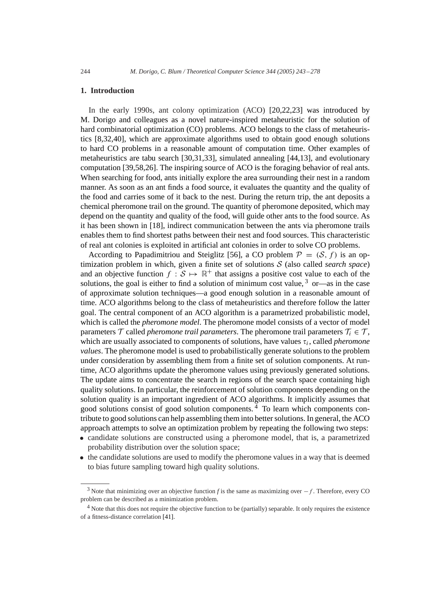## **1. Introduction**

In the early 1990s, ant colony optimization (ACO) [\[20,22,23\]](#page-34-0) was introduced by M. Dorigo and colleagues as a novel nature-inspired metaheuristic for the solution of hard combinatorial optimization (CO) problems. ACO belongs to the class of metaheuristics [\[8,](#page-33-0)[32,40\],](#page-34-0) which are approximate algorithms used to obtain good enough solutions to hard CO problems in a reasonable amount of computation time. Other examples of metaheuristics are tabu search [\[30,31,33\],](#page-34-0) simulated annealing [\[44](#page-34-0)[,13\],](#page-33-0) and evolutionary computation [\[39,](#page-34-0)[58,](#page-35-0)[26\].](#page-34-0) The inspiring source of ACO is the foraging behavior of real ants. When searching for food, ants initially explore the area surrounding their nest in a random manner. As soon as an ant finds a food source, it evaluates the quantity and the quality of the food and carries some of it back to the nest. During the return trip, the ant deposits a chemical pheromone trail on the ground. The quantity of pheromone deposited, which may depend on the quantity and quality of the food, will guide other ants to the food source. As it has been shown in [\[18\],](#page-33-0) indirect communication between the ants via pheromone trails enables them to find shortest paths between their nest and food sources. This characteristic of real ant colonies is exploited in artificial ant colonies in order to solve CO problems.

According to Papadimitriou and Steiglitz [\[56\],](#page-35-0) a CO problem  $\mathcal{P} = (\mathcal{S}, f)$  is an optimization problem in which, given a finite set of solutions S (also called *search space*) and an objective function  $f : \mathcal{S} \mapsto \mathbb{R}^+$  that assigns a positive cost value to each of the solutions, the goal is either to find a solution of minimum cost value,  $3$  or—as in the case of approximate solution techniques—a good enough solution in a reasonable amount of time. ACO algorithms belong to the class of metaheuristics and therefore follow the latter goal. The central component of an ACO algorithm is a parametrized probabilistic model, which is called the *pheromone model*. The pheromone model consists of a vector of model parameters  $\mathcal T$  called *pheromone trail parameters*. The pheromone trail parameters  $\mathcal T_i \in \mathcal T$ , which are usually associated to components of solutions, have values  $\tau_i$ , called *pheromone values*. The pheromone model is used to probabilistically generate solutions to the problem under consideration by assembling them from a finite set of solution components. At runtime, ACO algorithms update the pheromone values using previously generated solutions. The update aims to concentrate the search in regions of the search space containing high quality solutions. In particular, the reinforcement of solution components depending on the solution quality is an important ingredient of ACO algorithms. It implicitly assumes that good solutions consist of good solution components. <sup>4</sup> To learn which components contribute to good solutions can help assembling them into better solutions. In general, the ACO approach attempts to solve an optimization problem by repeating the following two steps:

- candidate solutions are constructed using a pheromone model, that is, a parametrized probability distribution over the solution space;
- the candidate solutions are used to modify the pheromone values in a way that is deemed to bias future sampling toward high quality solutions.

<sup>3</sup> Note that minimizing over an objective function *f* is the same as maximizing over −f . Therefore, every CO problem can be described as a minimization problem.

<sup>4</sup> Note that this does not require the objective function to be (partially) separable. It only requires the existence of a fitness-distance correlation [\[41\].](#page-34-0)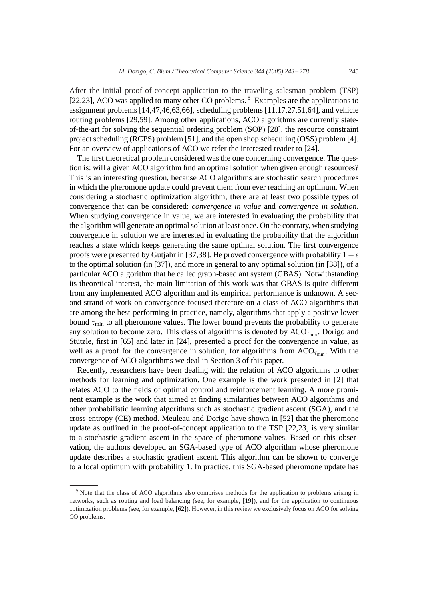After the initial proof-of-concept application to the traveling salesman problem (TSP) [\[22,23\],](#page-34-0) ACO was applied to many other CO problems.<sup>5</sup> Examples are the applications to assignment problems [\[14,](#page-33-0)[47,46,63,66\],](#page-35-0) scheduling problems [\[11,17,](#page-33-0)[27,](#page-34-0)[51,64\],](#page-35-0) and vehicle routing problems [\[29](#page-34-0)[,59\].](#page-35-0) Among other applications, ACO algorithms are currently stateof-the-art for solving the sequential ordering problem (SOP) [\[28\],](#page-34-0) the resource constraint project scheduling (RCPS) problem [\[51\],](#page-35-0) and the open shop scheduling (OSS) problem [\[4\].](#page-33-0) For an overview of applications of ACO we refer the interested reader to [\[24\].](#page-34-0)

The first theoretical problem considered was the one concerning convergence. The question is: will a given ACO algorithm find an optimal solution when given enough resources? This is an interesting question, because ACO algorithms are stochastic search procedures in which the pheromone update could prevent them from ever reaching an optimum. When considering a stochastic optimization algorithm, there are at least two possible types of convergence that can be considered: *convergence in value* and *convergence in solution*. When studying convergence in value, we are interested in evaluating the probability that the algorithm will generate an optimal solution at least once. On the contrary, when studying convergence in solution we are interested in evaluating the probability that the algorithm reaches a state which keeps generating the same optimal solution. The first convergence proofs were presented by Gutjahr in [\[37,38\].](#page-34-0) He proved convergence with probability  $1 - \varepsilon$ to the optimal solution (in [\[37\]\)](#page-34-0), and more in general to any optimal solution (in [\[38\]\)](#page-34-0), of a particular ACO algorithm that he called graph-based ant system (GBAS). Notwithstanding its theoretical interest, the main limitation of this work was that GBAS is quite different from any implemented ACO algorithm and its empirical performance is unknown. A second strand of work on convergence focused therefore on a class of ACO algorithms that are among the best-performing in practice, namely, algorithms that apply a positive lower bound  $\tau_{\min}$  to all pheromone values. The lower bound prevents the probability to generate any solution to become zero. This class of algorithms is denoted by  $ACO_{\tau_{\text{min}}}$ . Dorigo and Stützle, first in [\[65\]](#page-35-0) and later in [\[24\],](#page-34-0) presented a proof for the convergence in value, as well as a proof for the convergence in solution, for algorithms from  $ACO<sub>tau</sub>$ . With the convergence of ACO algorithms we deal in Section [3](#page-13-0) of this paper.

Recently, researchers have been dealing with the relation of ACO algorithms to other methods for learning and optimization. One example is the work presented in [\[2\]](#page-33-0) that relates ACO to the fields of optimal control and reinforcement learning. A more prominent example is the work that aimed at finding similarities between ACO algorithms and other probabilistic learning algorithms such as stochastic gradient ascent (SGA), and the cross-entropy (CE) method. Meuleau and Dorigo have shown in [\[52\]](#page-35-0) that the pheromone update as outlined in the proof-of-concept application to the TSP [\[22,23\]](#page-34-0) is very similar to a stochastic gradient ascent in the space of pheromone values. Based on this observation, the authors developed an SGA-based type of ACO algorithm whose pheromone update describes a stochastic gradient ascent. This algorithm can be shown to converge to a local optimum with probability 1. In practice, this SGA-based pheromone update has

<sup>5</sup> Note that the class of ACO algorithms also comprises methods for the application to problems arising in networks, such as routing and load balancing (see, for example, [\[19\]\)](#page-34-0), and for the application to continuous optimization problems (see, for example, [\[62\]\)](#page-35-0). However, in this review we exclusively focus on ACO for solving CO problems.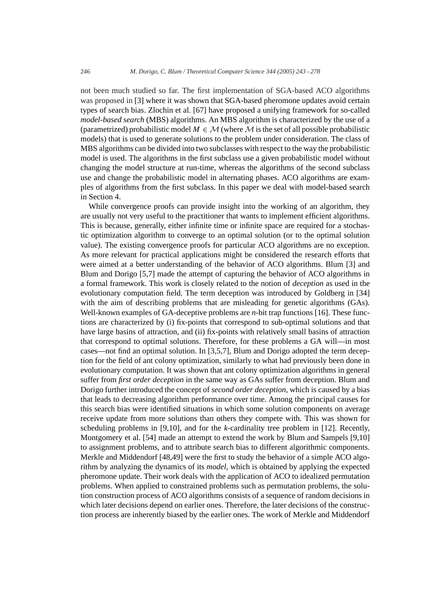not been much studied so far. The first implementation of SGA-based ACO algorithms was proposed in [\[3\]](#page-33-0) where it was shown that SGA-based pheromone updates avoid certain types of search bias. Zlochin et al. [\[67\]](#page-35-0) have proposed a unifying framework for so-called *model-based search* (MBS) algorithms. An MBS algorithm is characterized by the use of a (parametrized) probabilistic model  $M \in \mathcal{M}$  (where M is the set of all possible probabilistic models) that is used to generate solutions to the problem under consideration. The class of MBS algorithms can be divided into two subclasses with respect to the way the probabilistic model is used. The algorithms in the first subclass use a given probabilistic model without changing the model structure at run-time, whereas the algorithms of the second subclass use and change the probabilistic model in alternating phases. ACO algorithms are examples of algorithms from the first subclass. In this paper we deal with model-based search in Section [4.](#page-17-0)

While convergence proofs can provide insight into the working of an algorithm, they are usually not very useful to the practitioner that wants to implement efficient algorithms. This is because, generally, either infinite time or infinite space are required for a stochastic optimization algorithm to converge to an optimal solution (or to the optimal solution value). The existing convergence proofs for particular ACO algorithms are no exception. As more relevant for practical applications might be considered the research efforts that were aimed at a better understanding of the behavior of ACO algorithms. Blum [\[3\]](#page-33-0) and Blum and Dorigo [\[5,7\]](#page-33-0) made the attempt of capturing the behavior of ACO algorithms in a formal framework. This work is closely related to the notion of *deception* as used in the evolutionary computation field. The term deception was introduced by Goldberg in [\[34\]](#page-34-0) with the aim of describing problems that are misleading for genetic algorithms (GAs). Well-known examples of GA-deceptive problems are *n*-bit trap functions [\[16\].](#page-33-0) These functions are characterized by (i) fix-points that correspond to sub-optimal solutions and that have large basins of attraction, and (ii) fix-points with relatively small basins of attraction that correspond to optimal solutions. Therefore, for these problems a GAwill—in most cases—not find an optimal solution. In [\[3,5,7\],](#page-33-0) Blum and Dorigo adopted the term deception for the field of ant colony optimization, similarly to what had previously been done in evolutionary computation. It was shown that ant colony optimization algorithms in general suffer from *first order deception* in the same way as GAs suffer from deception. Blum and Dorigo further introduced the concept of *second order deception*, which is caused by a bias that leads to decreasing algorithm performance over time. Among the principal causes for this search bias were identified situations in which some solution components on average receive update from more solutions than others they compete with. This was shown for scheduling problems in [\[9,10\],](#page-33-0) and for the *k*-cardinality tree problem in [\[12\].](#page-33-0) Recently, Montgomery et al. [\[54\]](#page-35-0) made an attempt to extend the work by Blum and Sampels [\[9,10\]](#page-33-0) to assignment problems, and to attribute search bias to different algorithmic components. Merkle and Middendorf [\[48,49\]](#page-35-0) were the first to study the behavior of a simple ACO algorithm by analyzing the dynamics of its *model*, which is obtained by applying the expected pheromone update. Their work deals with the application of ACO to idealized permutation problems. When applied to constrained problems such as permutation problems, the solution construction process of ACO algorithms consists of a sequence of random decisions in which later decisions depend on earlier ones. Therefore, the later decisions of the construction process are inherently biased by the earlier ones. The work of Merkle and Middendorf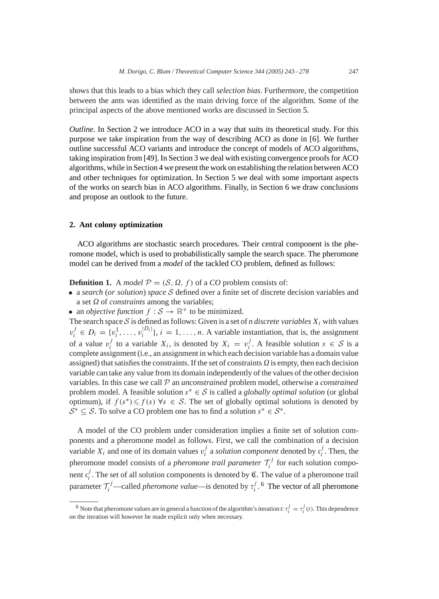<span id="page-4-0"></span>shows that this leads to a bias which they call *selection bias*. Furthermore, the competition between the ants was identified as the main driving force of the algorithm. Some of the principal aspects of the above mentioned works are discussed in Section [5.](#page-22-0)

*Outline.* In Section 2 we introduce ACO in a way that suits its theoretical study. For this purpose we take inspiration from the way of describing ACO as done in [\[6\].](#page-33-0) We further outline successful ACO variants and introduce the concept of models of ACO algorithms, taking inspiration from [\[49\].](#page-35-0) In Section 3 we deal with existing convergence proofs for ACO algorithms, while in Section 4 we present the work on establishing the relation between ACO and other techniques for optimization. In Section 5 we deal with some important aspects of the works on search bias in ACO algorithms. Finally, in Section 6 we draw conclusions and propose an outlook to the future.

## **2. Ant colony optimization**

ACO algorithms are stochastic search procedures. Their central component is the pheromone model, which is used to probabilistically sample the search space. The pheromone model can be derived from a *model* of the tackled CO problem, defined as follows:

**Definition 1.** A *model*  $P = (S, \Omega, f)$  of a *CO* problem consists of:

- a *search* (*or solution*) *space* S defined over a finite set of discrete decision variables and a set  $\Omega$  of *constraints* among the variables;
- an *objective function*  $f : \mathcal{S} \to \mathbb{R}^+$  to be minimized.

The search space  $S$  is defined as follows: Given is a set of *n discrete variables*  $X_i$  with values  $v_i^j \in D_i = \{v_i^1, \ldots, v_i^{|D_i|}\}, i = 1, \ldots, n$ . A variable instantiation, that is, the assignment of a value  $v_i^j$  to a variable  $X_i$ , is denoted by  $X_i = v_i^j$ . A feasible solution  $s \in S$  is a complete assignment (i.e., an assignment in which each decision variable has a domain value assigned) that satisfies the constraints. If the set of constraints  $\Omega$  is empty, then each decision variable can take any value from its domain independently of the values of the other decision variables. In this case we call P an *unconstrained* problem model, otherwise a *constrained* problem model. Afeasible solution <sup>s</sup><sup>∗</sup> <sup>∈</sup> <sup>S</sup> is called a *globally optimal solution* (or global optimum), if  $f(s^*) \leq f(s)$   $\forall s \in S$ . The set of globally optimal solutions is denoted by  $S^* \subseteq S$ . To solve a CO problem one has to find a solution  $s^* \in S^*$ .

Amodel of the CO problem under consideration implies a finite set of solution components and a pheromone model as follows. First, we call the combination of a decision variable  $X_i$  and one of its domain values  $v_i^j$  a *solution component* denoted by  $c_i^j$ . Then, the pheromone model consists of a *pheromone trail parameter*  $\mathcal{T}_i^j$  for each solution component  $c_i^j$ . The set of all solution components is denoted by  $\mathfrak{C}$ . The value of a pheromone trail parameter  $\tau_i^j$ —called *pheromone value*—is denoted by  $\tau_i^j$ . <sup>6</sup> The vector of all pheromone

<sup>&</sup>lt;sup>6</sup> Note that pheromone values are in general a function of the algorithm's iteration *t*:  $\tau_i^j = \tau_i^j(t)$ . This dependence on the iteration will however be made explicit only when necessary.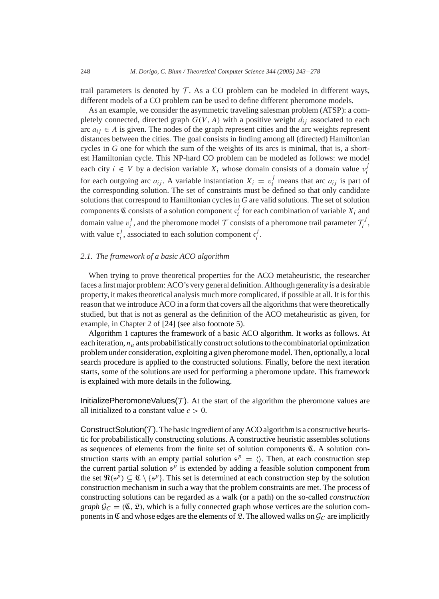<span id="page-5-0"></span>trail parameters is denoted by  $\mathcal T$ . As a CO problem can be modeled in different ways, different models of a CO problem can be used to define different pheromone models.

As an example, we consider the asymmetric traveling salesman problem (ATSP): a completely connected, directed graph  $G(V, A)$  with a positive weight  $d_{ij}$  associated to each arc  $a_{ij} \in A$  is given. The nodes of the graph represent cities and the arc weights represent distances between the cities. The goal consists in finding among all (directed) Hamiltonian cycles in *G* one for which the sum of the weights of its arcs is minimal, that is, a shortest Hamiltonian cycle. This NP-hard CO problem can be modeled as follows: we model each city  $i \in V$  by a decision variable  $X_i$  whose domain consists of a domain value  $v_i^j$ for each outgoing arc  $a_{ij}$ . A variable instantiation  $X_i = v_i^j$  means that arc  $a_{ij}$  is part of the corresponding solution. The set of constraints must be defined so that only candidate solutions that correspond to Hamiltonian cycles in *G* are valid solutions. The set of solution components  $\mathfrak C$  consists of a solution component  $\mathfrak c_i^j$  for each combination of variable  $X_i$  and domain value  $v_i^j$ , and the pheromone model  $\mathcal T$  consists of a pheromone trail parameter  $\mathcal T_i^j$ , with value  $\tau_i^j$ , associated to each solution component  $\tau_i^j$ .

# *2.1. The framework of a basic ACO algorithm*

When trying to prove theoretical properties for the ACO metaheuristic, the researcher faces a first major problem: ACO's very general definition. Although generality is a desirable property, it makes theoretical analysis much more complicated, if possible at all. It is for this reason that we introduce ACO in a form that covers all the algorithms that were theoretically studied, but that is not as general as the definition of the ACO metaheuristic as given, for example, in Chapter 2 of [\[24\]](#page-34-0) (see also footnote 5).

Algorithm 1 captures the framework of a basic ACO algorithm. It works as follows. At each iteration,  $n_a$  ants probabilistically construct solutions to the combinatorial optimization problem under consideration, exploiting a given pheromone model. Then, optionally, a local search procedure is applied to the constructed solutions. Finally, before the next iteration starts, some of the solutions are used for performing a pheromone update. This framework is explained with more details in the following.

InitializePheromoneValues( $T$ ). At the start of the algorithm the pheromone values are all initialized to a constant value  $c > 0$ .

ConstructSolution( $T$ ). The basic ingredient of any ACO algorithm is a constructive heuristic for probabilistically constructing solutions. Aconstructive heuristic assembles solutions as sequences of elements from the finite set of solution components  $\mathfrak{C}$ . A solution construction starts with an empty partial solution  $s^p = \langle \rangle$ . Then, at each construction step the current partial solution  $\mathfrak{s}^p$  is extended by adding a feasible solution component from the set  $\Re(s^p) \subset \mathfrak{C} \setminus \{s^p\}$ . This set is determined at each construction step by the solution construction mechanism in such a way that the problem constraints are met. The process of constructing solutions can be regarded as a walk (or a path) on the so-called *construction graph*  $\mathcal{G}_C = (\mathfrak{C}, \mathfrak{L})$ , which is a fully connected graph whose vertices are the solution components in  $\mathfrak C$  and whose edges are the elements of  $\mathfrak L$ . The allowed walks on  $\mathcal G_C$  are implicitly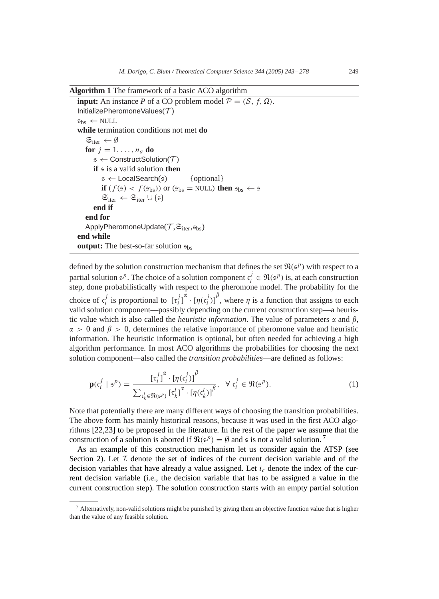<span id="page-6-0"></span>**Algorithm 1** The framework of a basic ACO algorithm

**input:** An instance *P* of a CO problem model  $P = (S, f, \Omega)$ . InitializePheromoneValues $(T)$  $\mathfrak{s}_{bs} \leftarrow \text{NULL}$ **while** termination conditions not met **do**  $\mathfrak{S}_{\text{iter}} \leftarrow \emptyset$ **for**  $j = 1, \ldots, n_a$  **do**  $s \leftarrow$  ConstructSolution( $\mathcal{T}$ ) **if** s is a valid solution **then**  $s \leftarrow$  LocalSearch(s) {optional} **if**  $(f(\mathfrak{s}) < f(\mathfrak{s}_{bs}))$  or  $(\mathfrak{s}_{bs} = \text{NULL})$  **then**  $\mathfrak{s}_{bs} \leftarrow \mathfrak{s}$  $\mathfrak{S}_{\text{iter}} \leftarrow \mathfrak{S}_{\text{iter}} \cup \{\mathfrak{s}\}$ **end if end for** ApplyPheromoneUpdate( $\mathcal{T}, \mathfrak{S}_{\text{iter}}, \mathfrak{H}_{\text{bs}}$ ) **end while output:** The best-so-far solution  $\mathfrak{s}_{\text{bs}}$ 

defined by the solution construction mechanism that defines the set  $\Re(\mathfrak{s}^p)$  with respect to a partial solution  $s^p$ . The choice of a solution component  $c_i^j \in \mathfrak{N}(s^p)$  is, at each construction step, done probabilistically with respect to the pheromone model. The probability for the choice of  $c_i^j$  is proportional to  $[\tau_i^j]^{\alpha} \cdot [\eta(c_i^j)]^{\beta}$ , where  $\eta$  is a function that assigns to each valid solution component—possibly depending on the current construction step—a heuristic value which is also called the *heuristic information*. The value of parameters  $\alpha$  and  $\beta$ ,  $\alpha > 0$  and  $\beta > 0$ , determines the relative importance of pheromone value and heuristic information. The heuristic information is optional, but often needed for achieving a high algorithm performance. In most ACO algorithms the probabilities for choosing the next solution component—also called the *transition probabilities*—are defined as follows:

$$
\mathbf{p}(\mathbf{c}_i^j \mid \mathbf{s}^p) = \frac{\left[\tau_i^j\right]^\alpha \cdot \left[\eta(\mathbf{c}_i^j)\right]^\beta}{\sum_{\mathbf{c}_k^j \in \mathfrak{N}(\mathbf{s}^p)} \left[\tau_k^l\right]^\alpha \cdot \left[\eta(\mathbf{c}_k^l)\right]^\beta}, \ \ \forall \ \mathbf{c}_i^j \in \mathfrak{N}(\mathbf{s}^p). \tag{1}
$$

Note that potentially there are many different ways of choosing the transition probabilities. The above form has mainly historical reasons, because it was used in the first ACO algorithms [\[22,23\]](#page-34-0) to be proposed in the literature. In the rest of the paper we assume that the construction of a solution is aborted if  $\Re(\varsigma^p) = \emptyset$  and  $\varsigma$  is not a valid solution.<sup>7</sup>

As an example of this construction mechanism let us consider again the ATSP (see Section [2\)](#page-4-0). Let  $\mathcal I$  denote the set of indices of the current decision variable and of the decision variables that have already a value assigned. Let  $i_c$  denote the index of the current decision variable (i.e., the decision variable that has to be assigned a value in the current construction step). The solution construction starts with an empty partial solution

 $<sup>7</sup>$  Alternatively, non-valid solutions might be punished by giving them an objective function value that is higher</sup> than the value of any feasible solution.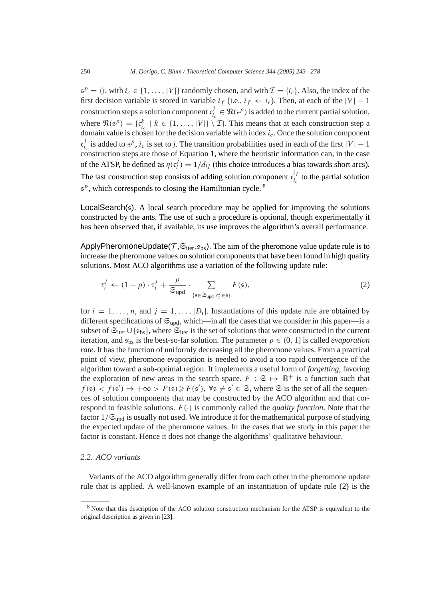<span id="page-7-0"></span> $s^p = \langle \rangle$ , with  $i_c \in \{1, ..., |V|\}$  randomly chosen, and with  $\mathcal{I} = \{i_c\}$ . Also, the index of the first decision variable is stored in variable  $i_f$  (i.e.,  $i_f \leftarrow i_c$ ). Then, at each of the  $|V| - 1$ construction steps a solution component  $c_{i_c}^j \in \mathfrak{N}(s^p)$  is added to the current partial solution, where  $\mathfrak{N}(s^p) = \{c_{i_c}^k \mid k \in \{1, ..., |V|\} \setminus \mathcal{I}\}\$ . This means that at each construction step a domain value is chosen for the decision variable with index  $i_c$ . Once the solution component  $c_{i_c}^j$  is added to  $s^p$ ,  $i_c$  is set to *j*. The transition probabilities used in each of the first  $|V| - 1$ construction steps are those of Equation [1,](#page-6-0) where the heuristic information can, in the case of the ATSP, be defined as  $\eta(c_i^j) = 1/d_{ij}$  (this choice introduces a bias towards short arcs). The last construction step consists of adding solution component  $c_{i_c}^{i_f}$  to the partial solution  $s^p$ , which corresponds to closing the Hamiltonian cycle. <sup>8</sup>

 $LocalSearch(s)$ . A local search procedure may be applied for improving the solutions constructed by the ants. The use of such a procedure is optional, though experimentally it has been observed that, if available, its use improves the algorithm's overall performance.

ApplyPheromoneUpdate( $\mathcal{T}, \mathfrak{S}_{\text{iter}}, \mathfrak{s}_{\text{bs}}$ ). The aim of the pheromone value update rule is to increase the pheromone values on solution components that have been found in high quality solutions. Most ACO algorithms use a variation of the following update rule:

$$
\tau_i^j \leftarrow (1 - \rho) \cdot \tau_i^j + \frac{\rho}{\mathfrak{S}_{\text{upd}}} \cdot \sum_{\{\mathfrak{s} \in \mathfrak{S}_{\text{upd}} \mid \mathfrak{c}_i^j \in \mathfrak{s}\}} F(\mathfrak{s}),\tag{2}
$$

for  $i = 1, \ldots, n$ , and  $j = 1, \ldots, |D_i|$ . Instantiations of this update rule are obtained by different specifications of  $\mathfrak{S}_{\text{upd}}$ , which—in all the cases that we consider in this paper—is a subset of  $\mathfrak{S}_{\text{iter}} \cup \{\mathfrak{s}_{bs}\}\)$ , where  $\mathfrak{S}_{\text{iter}}$  is the set of solutions that were constructed in the current iteration, and  $s_{bs}$  is the best-so-far solution. The parameter  $\rho \in (0, 1]$  is called *evaporation rate*. It has the function of uniformly decreasing all the pheromone values. From a practical point of view, pheromone evaporation is needed to avoid a too rapid convergence of the algorithm toward a sub-optimal region. It implements a useful form of *forgetting*, favoring the exploration of new areas in the search space.  $F : \mathfrak{S} \mapsto \mathbb{R}^+$  is a function such that  $f(\mathfrak{s}) < f(\mathfrak{s}') \Rightarrow +\infty > F(\mathfrak{s}) \geqslant F(\mathfrak{s}'), \forall \mathfrak{s} \neq \mathfrak{s}' \in \mathfrak{S}, \text{ where } \mathfrak{S} \text{ is the set of all the sequen-}$ ces of solution components that may be constructed by the ACO algorithm and that correspond to feasible solutions.  $F(\cdot)$  is commonly called the *quality function*. Note that the factor  $1/\mathfrak{S}_{\text{upd}}$  is usually not used. We introduce it for the mathematical purpose of studying the expected update of the pheromone values. In the cases that we study in this paper the factor is constant. Hence it does not change the algorithms' qualitative behaviour.

## *2.2. ACO variants*

Variants of the ACO algorithm generally differ from each other in the pheromone update rule that is applied. Awell-known example of an instantiation of update rule (2) is the

<sup>&</sup>lt;sup>8</sup> Note that this description of the ACO solution construction mechanism for the ATSP is equivalent to the original description as given in [\[23\].](#page-34-0)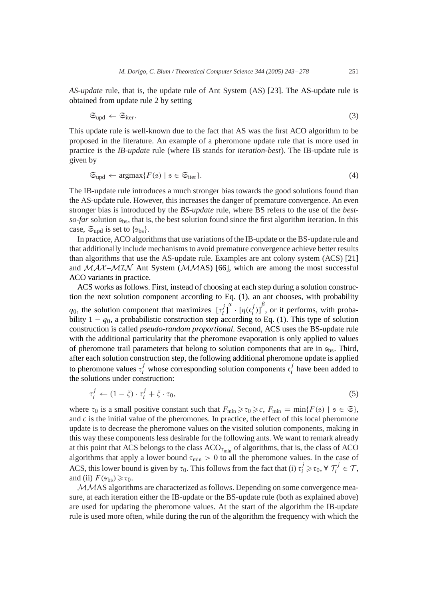*AS-update* rule, that is, the update rule of Ant System (AS) [\[23\].](#page-34-0) The AS-update rule is obtained from update rule [2](#page-7-0) by setting

$$
\mathfrak{S}_{\text{upd}} \leftarrow \mathfrak{S}_{\text{iter}}.\tag{3}
$$

This update rule is well-known due to the fact that AS was the first ACO algorithm to be proposed in the literature. An example of a pheromone update rule that is more used in practice is the *IB-update* rule (where IB stands for *iteration-best*). The IB-update rule is given by

$$
\mathfrak{S}_{\text{upd}} \leftarrow \text{argmax}\{F(\mathfrak{s}) \mid \mathfrak{s} \in \mathfrak{S}_{\text{iter}}\}.
$$
\n
$$
\tag{4}
$$

The IB-update rule introduces a much stronger bias towards the good solutions found than the AS-update rule. However, this increases the danger of premature convergence. An even stronger bias is introduced by the *BS-update* rule, where BS refers to the use of the *bestso-far* solution sbs, that is, the best solution found since the first algorithm iteration. In this case,  $\mathfrak{S}_{\text{upd}}$  is set to { $\mathfrak{s}_{\text{bs}}$ }.

In practice, ACO algorithms that use variations of the IB-update or the BS-update rule and that additionally include mechanisms to avoid premature convergence achieve better results than algorithms that use the AS-update rule. Examples are ant colony system (ACS) [\[21\]](#page-34-0) and  $MAX-MIN$  Ant System ( $MMS$ ) [\[66\],](#page-35-0) which are among the most successful ACO variants in practice.

ACS works as follows. First, instead of choosing at each step during a solution construction the next solution component according to Eq. [\(1\)](#page-6-0), an ant chooses, with probability  $q_0$ , the solution component that maximizes  $[\tau_i^j]^{\alpha} \cdot [\eta(\mathfrak{c}_i^j)]^{\beta}$ , or it performs, with probability  $1 - q_0$ , a probabilistic construction step according to Eq. [\(1\)](#page-6-0). This type of solution construction is called *pseudo-random proportional*. Second, ACS uses the BS-update rule with the additional particularity that the pheromone evaporation is only applied to values of pheromone trail parameters that belong to solution components that are in  $\epsilon_{bs}$ . Third, after each solution construction step, the following additional pheromone update is applied to pheromone values  $\tau_i^j$  whose corresponding solution components  $\epsilon_i^j$  have been added to the solutions under construction:

$$
\tau_i^j \leftarrow (1 - \xi) \cdot \tau_i^j + \xi \cdot \tau_0,\tag{5}
$$

where  $\tau_0$  is a small positive constant such that  $F_{\min} \ge \tau_0 \ge c$ ,  $F_{\min} = \min\{F(\mathfrak{s}) \mid \mathfrak{s} \in \mathfrak{S}\},$ and  $c$  is the initial value of the pheromones. In practice, the effect of this local pheromone update is to decrease the pheromone values on the visited solution components, making in this way these components less desirable for the following ants. We want to remark already at this point that ACS belongs to the class  $ACO<sub>tmin</sub>$  of algorithms, that is, the class of ACO algorithms that apply a lower bound  $\tau_{\min} > 0$  to all the pheromone values. In the case of ACS, this lower bound is given by  $\tau_0$ . This follows from the fact that (i)  $\tau_i^j \ge \tau_0$ ,  $\forall \tau_i^j \in \mathcal{T}$ , and (ii)  $F(\mathfrak{s}_{bs}) \geq \tau_0$ .

MMAS algorithms are characterized as follows. Depending on some convergence measure, at each iteration either the IB-update or the BS-update rule (both as explained above) are used for updating the pheromone values. At the start of the algorithm the IB-update rule is used more often, while during the run of the algorithm the frequency with which the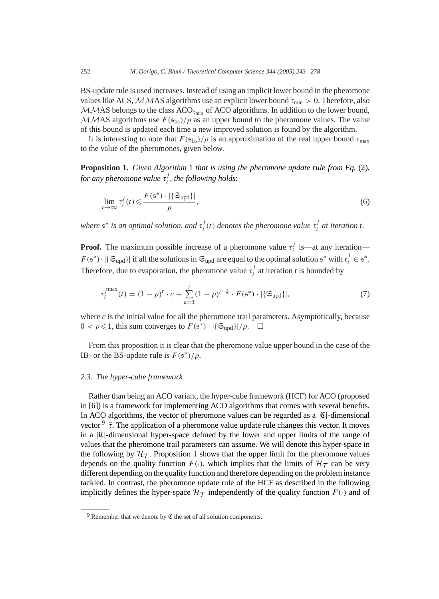<span id="page-9-0"></span>BS-update rule is used increases. Instead of using an implicit lower bound in the pheromone values like ACS, MMAS algorithms use an explicit lower bound  $\tau_{min} > 0$ . Therefore, also  $MMS$  belongs to the class  $ACO<sub>tmin</sub>$  of ACO algorithms. In addition to the lower bound, MMAS algorithms use  $F(\epsilon_{bs})/\rho$  as an upper bound to the pheromone values. The value of this bound is updated each time a new improved solution is found by the algorithm.

It is interesting to note that  $F(\epsilon_{\rm bs})/\rho$  is an approximation of the real upper bound  $\tau_{\rm max}$ to the value of the pheromones, given below.

**Proposition 1.** *Given Algorithm* [1](#page-6-0) *that is using the pheromone update rule from Eq.* [\(2\)](#page-7-0), for any pheromone value  $\tau_i^j$ , the following holds:

$$
\lim_{t \to \infty} \tau_i^j(t) \leqslant \frac{F(\mathfrak{s}^*) \cdot | \{\mathfrak{S}_{\text{upd}}\}|}{\rho},\tag{6}
$$

where  $s^*$  is an optimal solution, and  $\tau_i^j(t)$  denotes the pheromone value  $\tau_i^j$  at iteration t.

**Proof.** The maximum possible increase of a pheromone value  $\tau_i^j$  is—at any iteration—  $F(\varsigma^*) \cdot |\{\mathfrak{S}_{\text{upd}}\}|$  if all the solutions in  $\mathfrak{S}_{\text{upd}}$  are equal to the optimal solution  $\varsigma^*$  with  $\varsigma_i^j \in \varsigma^*$ . Therefore, due to evaporation, the pheromone value  $\tau_i^j$  at iteration *t* is bounded by

$$
\tau_i^{j^{\max}}(t) = (1 - \rho)^t \cdot c + \sum_{k=1}^t (1 - \rho)^{t-k} \cdot F(\mathfrak{s}^*) \cdot |\{\mathfrak{S}_{\text{upd}}\}|,\tag{7}
$$

where  $c$  is the initial value for all the pheromone trail parameters. Asymptotically, because  $0 < \rho \leq 1$ , this sum converges to  $F(\mathfrak{s}^*) \cdot |\{\mathfrak{S}_{\text{und}}\}|/\rho$ . □

From this proposition it is clear that the pheromone value upper bound in the case of the IB- or the BS-update rule is  $F(\mathfrak{s}^*)/\rho$ .

#### *2.3. The hyper-cube framework*

Rather than being an ACO variant, the hyper-cube framework (HCF) for ACO (proposed in [\[6\]\)](#page-33-0) is a framework for implementing ACO algorithms that comes with several benefits. In ACO algorithms, the vector of pheromone values can be regarded as a  $|C|$ -dimensional vector  $9\vec{\tau}$ . The application of a pheromone value update rule changes this vector. It moves in a  $|C|$ -dimensional hyper-space defined by the lower and upper limits of the range of values that the pheromone trail parameters can assume. We will denote this hyper-space in the following by  $H_{\mathcal{T}}$ . Proposition 1 shows that the upper limit for the pheromone values depends on the quality function  $F(\cdot)$ , which implies that the limits of  $H<sub>T</sub>$  can be very different depending on the quality function and therefore depending on the problem instance tackled. In contrast, the pheromone update rule of the HCF as described in the following implicitly defines the hyper-space  $\mathcal{H}_\mathcal{T}$  independently of the quality function  $F(\cdot)$  and of

 $9$  Remember that we denote by  $\mathfrak C$  the set of all solution components.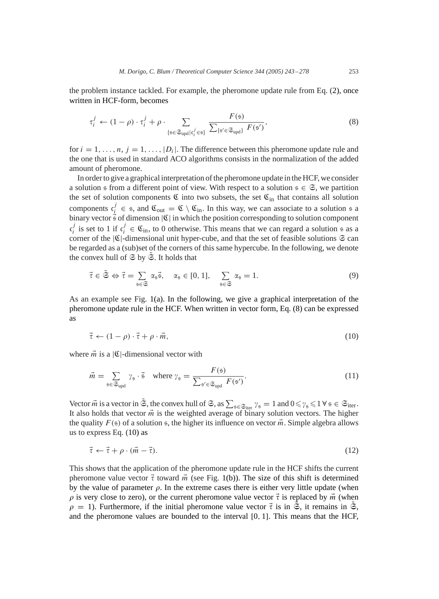<span id="page-10-0"></span>the problem instance tackled. For example, the pheromone update rule from Eq. [\(2\)](#page-7-0), once written in HCF-form, becomes

$$
\tau_i^j \leftarrow (1 - \rho) \cdot \tau_i^j + \rho \cdot \sum_{\{\mathbf{s} \in \mathfrak{S}_{\text{upd}} | \mathfrak{c}_i^j \in \mathbf{s}\}} \frac{F(\mathbf{s})}{\sum_{\{\mathbf{s}' \in \mathfrak{S}_{\text{upd}}\}} F(\mathbf{s}')},\tag{8}
$$

for  $i = 1, \ldots, n, j = 1, \ldots, |D_i|$ . The difference between this pheromone update rule and the one that is used in standard ACO algorithms consists in the normalization of the added amount of pheromone.

In order to give a graphical interpretation of the pheromone update in the HCF, we consider a solution  $\varsigma$  from a different point of view. With respect to a solution  $\varsigma \in \mathfrak{S}$ , we partition the set of solution components  $\mathfrak C$  into two subsets, the set  $\mathfrak C_{\rm in}$  that contains all solution components  $c_j^j \in \mathfrak{s}$ , and  $\mathfrak{C}_{out} = \mathfrak{C} \setminus \mathfrak{C}_{in}$ . In this way, we can associate to a solution  $\mathfrak{s}$  a binary vector  $\vec{s}$  of dimension  $|\mathfrak{C}|$  in which the position corresponding to solution component  $c_i^j$  is set to 1 if  $c_i^j \in \mathfrak{C}_{in}$ , to 0 otherwise. This means that we can regard a solution  $\epsilon$  as a corner of the  $|C|$ -dimensional unit hyper-cube, and that the set of feasible solutions  $\Im$  can be regarded as a (sub)set of the corners of this same hypercube. In the following, we denote the convex hull of  $\mathfrak{S}$  by  $\mathfrak{S}$ . It holds that

$$
\vec{\tau} \in \tilde{\mathfrak{S}} \Leftrightarrow \vec{\tau} = \sum_{s \in \mathfrak{S}} \alpha_s \vec{s}, \quad \alpha_s \in [0, 1], \quad \sum_{s \in \mathfrak{S}} \alpha_s = 1. \tag{9}
$$

As an example see Fig. [1\(](#page-11-0)a). In the following, we give a graphical interpretation of the pheromone update rule in the HCF. When written in vector form, Eq. (8) can be expressed as

$$
\vec{\tau} \leftarrow (1 - \rho) \cdot \vec{\tau} + \rho \cdot \vec{m},\tag{10}
$$

where  $\vec{m}$  is a  $|\mathfrak{C}|$ -dimensional vector with

$$
\vec{m} = \sum_{\mathfrak{s} \in \mathfrak{S}_{\text{upd}}} \gamma_{\mathfrak{s}} \cdot \vec{\mathfrak{s}} \quad \text{where } \gamma_{\mathfrak{s}} = \frac{F(\mathfrak{s})}{\sum_{\mathfrak{s}' \in \mathfrak{S}_{\text{upd}}} F(\mathfrak{s}')}.
$$
(11)

Vector  $\vec{m}$  is a vector in  $\tilde{\mathfrak{S}}$ , the convex hull of  $\mathfrak{S}$ , as  $\sum_{s \in \mathfrak{S}_{iter}} \gamma_s = 1$  and  $0 \leq \gamma_s \leq 1 \forall s \in \mathfrak{S}_{iter}$ . It also holds that vector  $\vec{m}$  is the weighted average of binary solution vectors. The higher the quality  $F(\mathfrak{s})$  of a solution  $\mathfrak{s}$ , the higher its influence on vector  $\vec{m}$ . Simple algebra allows us to express Eq. (10) as

$$
\vec{\tau} \leftarrow \vec{\tau} + \rho \cdot (\vec{m} - \vec{\tau}). \tag{12}
$$

This shows that the application of the pheromone update rule in the HCF shifts the current pheromone value vector  $\vec{\tau}$  toward  $\vec{m}$  (see Fig. [1\(](#page-11-0)b)). The size of this shift is determined by the value of parameter  $\rho$ . In the extreme cases there is either very little update (when  $\rho$  is very close to zero), or the current pheromone value vector  $\vec{\tau}$  is replaced by  $\vec{m}$  (when  $\rho = 1$ ). Furthermore, if the initial pheromone value vector  $\vec{\tau}$  is in  $\vec{\mathfrak{S}}$ , it remains in  $\vec{\mathfrak{S}}$ , and the pheromone values are bounded to the interval [0, 1]. This means that the HCF,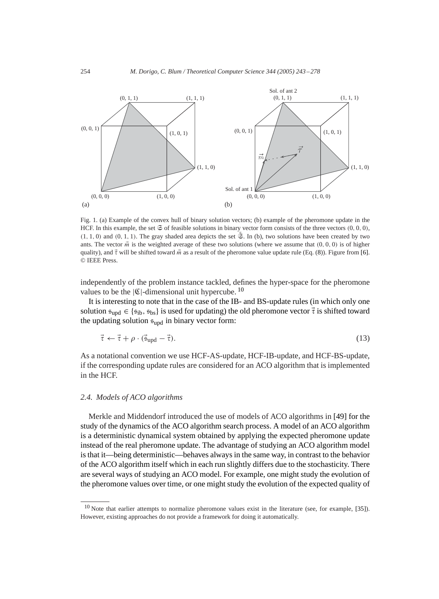<span id="page-11-0"></span>

Fig. 1. (a) Example of the convex hull of binary solution vectors; (b) example of the pheromone update in the HCF. In this example, the set  $\mathfrak S$  of feasible solutions in binary vector form consists of the three vectors  $(0, 0, 0)$ ,  $(1, 1, 0)$  and  $(0, 1, 1)$ . The gray shaded area depicts the set  $\tilde{\mathfrak{S}}$ . In (b), two solutions have been created by two ants. The vector  $\vec{m}$  is the weighted average of these two solutions (where we assume that  $(0, 0, 0)$  is of higher quality), and  $\vec{\tau}$  will be shifted toward  $\vec{m}$  as a result of the pheromone value update rule (Eq. [\(8\)](#page-10-0)). Figure from [\[6\].](#page-33-0) © IEEE Press.

independently of the problem instance tackled, defines the hyper-space for the pheromone values to be the  $|\mathfrak{C}|$ -dimensional unit hypercube. <sup>10</sup>

It is interesting to note that in the case of the IB- and BS-update rules (in which only one solution  $s_{\text{und}} \in \{s_{\text{ib}}, s_{\text{bs}}\}$  is used for updating) the old pheromone vector  $\vec{\tau}$  is shifted toward the updating solution  $s_{\text{und}}$  in binary vector form:

$$
\vec{\tau} \leftarrow \vec{\tau} + \rho \cdot (\vec{\mathbf{s}}_{\text{upd}} - \vec{\tau}). \tag{13}
$$

As a notational convention we use HCF-AS-update, HCF-IB-update, and HCF-BS-update, if the corresponding update rules are considered for an ACO algorithm that is implemented in the HCF.

## *2.4. Models of ACO algorithms*

Merkle and Middendorf introduced the use of models of ACO algorithms in [\[49\]](#page-35-0) for the study of the dynamics of the ACO algorithm search process. A model of an ACO algorithm is a deterministic dynamical system obtained by applying the expected pheromone update instead of the real pheromone update. The advantage of studying an ACO algorithm model is that it—being deterministic—behaves always in the same way, in contrast to the behavior of the ACO algorithm itself which in each run slightly differs due to the stochasticity. There are several ways of studying an ACO model. For example, one might study the evolution of the pheromone values over time, or one might study the evolution of the expected quality of

<sup>&</sup>lt;sup>10</sup> Note that earlier attempts to normalize pheromone values exist in the literature (see, for example, [\[35\]\)](#page-34-0). However, existing approaches do not provide a framework for doing it automatically.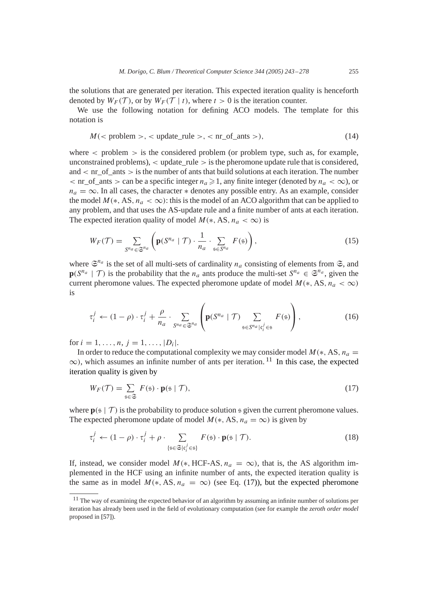the solutions that are generated per iteration. This expected iteration quality is henceforth denoted by  $W_F(\mathcal{T})$ , or by  $W_F(\mathcal{T} | t)$ , where  $t > 0$  is the iteration counter.

We use the following notation for defining ACO models. The template for this notation is

$$
M(problem>, update_value), nr_of_ants>, \t(14)
$$

where  $\langle$  problem  $\rangle$  is the considered problem (or problem type, such as, for example, unconstrained problems),  $\langle$  update\_rule  $\rangle$  is the pheromone update rule that is considered, and  $\langle$  nr of ants  $>$  is the number of ants that build solutions at each iteration. The number  $\langle$  nr\_of\_ants  $>$  can be a specific integer  $n_a \ge 1$ , any finite integer (denoted by  $n_a < \infty$ ), or  $n_a = \infty$ . In all cases, the character  $*$  denotes any possible entry. As an example, consider the model  $M(*, AS, n_a < \infty)$ : this is the model of an ACO algorithm that can be applied to any problem, and that uses the AS-update rule and a finite number of ants at each iteration. The expected iteration quality of model  $M(*, AS, n_a < \infty)$  is

$$
W_F(\mathcal{T}) = \sum_{S^{n_a} \in \mathfrak{S}^{n_a}} \left( \mathbf{p}(S^{n_a} \mid \mathcal{T}) \cdot \frac{1}{n_a} \cdot \sum_{\mathfrak{s} \in S^{n_a}} F(\mathfrak{s}) \right),\tag{15}
$$

where  $\mathfrak{S}^{n_a}$  is the set of all multi-sets of cardinality  $n_a$  consisting of elements from  $\mathfrak{S}$ , and  $\mathbf{p}(S^{n_a} \mid \mathcal{T})$  is the probability that the  $n_a$  ants produce the multi-set  $S^{n_a} \in \mathfrak{S}^{n_a}$ , given the current pheromone values. The expected pheromone update of model  $M(*, AS, n_a < \infty)$ is

$$
\tau_i^j \leftarrow (1 - \rho) \cdot \tau_i^j + \frac{\rho}{n_a} \cdot \sum_{S^{n_a} \in \mathfrak{S}^{n_a}} \left( \mathbf{p}(S^{n_a} \mid \mathcal{T}) \sum_{\mathfrak{s} \in S^{n_a} \mid \mathfrak{c}_i^j \in \mathfrak{s}} F(\mathfrak{s}) \right), \tag{16}
$$

for  $i = 1, \ldots, n, j = 1, \ldots, |D_i|$ .

In order to reduce the computational complexity we may consider model  $M(*, AS, n_a =$  $\infty$ ), which assumes an infinite number of ants per iteration.<sup>11</sup> In this case, the expected iteration quality is given by

$$
W_F(\mathcal{T}) = \sum_{\mathfrak{s} \in \mathfrak{S}} F(\mathfrak{s}) \cdot \mathbf{p}(\mathfrak{s} \mid \mathcal{T}), \tag{17}
$$

where  $\mathbf{p}(s | \mathcal{T})$  is the probability to produce solution s given the current pheromone values. The expected pheromone update of model  $M(*, AS, n_a = \infty)$  is given by

$$
\tau_i^j \leftarrow (1 - \rho) \cdot \tau_i^j + \rho \cdot \sum_{\{\mathfrak{s} \in \mathfrak{S} | \mathfrak{c}_i^j \in \mathfrak{s}\}} F(\mathfrak{s}) \cdot \mathbf{p}(\mathfrak{s} \mid \mathcal{T}). \tag{18}
$$

If, instead, we consider model  $M(*, HCF-AS, n_a = \infty)$ , that is, the AS algorithm implemented in the HCF using an infinite number of ants, the expected iteration quality is the same as in model  $M(*, AS, n_a = \infty)$  (see Eq. (17)), but the expected pheromone

<sup>&</sup>lt;sup>11</sup> The way of examining the expected behavior of an algorithm by assuming an infinite number of solutions per iteration has already been used in the field of evolutionary computation (see for example the *zeroth order model* proposed in [\[57\]\)](#page-35-0).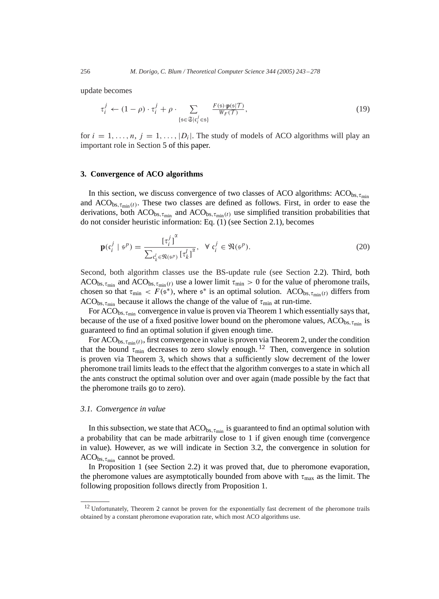update becomes

$$
\tau_i^j \leftarrow (1 - \rho) \cdot \tau_i^j + \rho \cdot \sum_{\{\mathfrak{s} \in \mathfrak{S} \mid \mathfrak{c}_i^j \in \mathfrak{s}\}} \frac{F(\mathfrak{s}) \cdot \mathbf{p}(\mathfrak{s} | \mathcal{T})}{W_F(\mathcal{T})},\tag{19}
$$

for  $i = 1, \ldots, n$ ,  $j = 1, \ldots, |D_i|$ . The study of models of ACO algorithms will play an important role in Section [5](#page-22-0) of this paper.

## **3. Convergence of ACO algorithms**

In this section, we discuss convergence of two classes of ACO algorithms:  $ACO_{bs, \tau_{min}}$ and  $ACO_{bs, \tau_{min}(t)}$ . These two classes are defined as follows. First, in order to ease the derivations, both ACO<sub>bs,  $\tau_{\min}$ </sub> and ACO<sub>bs,  $\tau_{\min}(t)$ </sub> use simplified transition probabilities that do not consider heuristic information: Eq. [\(1\)](#page-6-0) (see Section [2.1\)](#page-5-0), becomes

$$
\mathbf{p}(\mathbf{c}_i^j \mid \mathbf{s}^p) = \frac{\left[\tau_i^j\right]^\alpha}{\sum_{\mathbf{c}_k^l \in \mathfrak{N}(\mathbf{s}^p)} \left[\tau_k^l\right]^\alpha}, \ \ \forall \ \mathbf{c}_i^j \in \mathfrak{N}(\mathbf{s}^p). \tag{20}
$$

Second, both algorithm classes use the BS-update rule (see Section [2.2\)](#page-7-0). Third, both ACO<sub>bs,  $\tau_{\min}$ </sub> and ACO<sub>bs,  $\tau_{\min}(t)$  use a lower limit  $\tau_{\min} > 0$  for the value of pheromone trails,</sub> chosen so that  $\tau_{\min} < F(\varsigma^*)$ , where  $\varsigma^*$  is an optimal solution. ACO<sub>bs,  $\tau_{\min}(t)$ </sub> differs from ACO<sub>bs,  $\tau_{\min}$ </sub> because it allows the change of the value of  $\tau_{\min}$  at run-time.

For  $ACO_{bs, \tau_{min}}$  convergence in value is proven via Theorem [1](#page-14-0) which essentially says that, because of the use of a fixed positive lower bound on the pheromone values,  $ACO_{bs, \tau_{min}}$  is guaranteed to find an optimal solution if given enough time.

For ACO<sub>bs,  $\tau_{\min}(t)$ </sub>, first convergence in value is proven via Theorem [2,](#page-15-0) under the condition that the bound  $\tau_{\min}$  decreases to zero slowly enough. <sup>12</sup> Then, convergence in solution is proven via Theorem [3,](#page-15-0) which shows that a sufficiently slow decrement of the lower pheromone trail limits leads to the effect that the algorithm converges to a state in which all the ants construct the optimal solution over and over again (made possible by the fact that the pheromone trails go to zero).

## *3.1. Convergence in value*

In this subsection, we state that  $ACO_{bs, \tau_{min}}$  is guaranteed to find an optimal solution with a probability that can be made arbitrarily close to 1 if given enough time (convergence in value). However, as we will indicate in Section [3.2,](#page-14-0) the convergence in solution for  $ACO_{bs, \tau_{min}}$  cannot be proved.

In Proposition [1](#page-9-0) (see Section [2.2\)](#page-7-0) it was proved that, due to pheromone evaporation, the pheromone values are asymptotically bounded from above with  $\tau_{\text{max}}$  as the limit. The following proposition follows directly from Proposition [1.](#page-9-0)

<span id="page-13-0"></span>

<sup>&</sup>lt;sup>1[2](#page-15-0)</sup> Unfortunately, Theorem 2 cannot be proven for the exponentially fast decrement of the pheromone trails obtained by a constant pheromone evaporation rate, which most ACO algorithms use.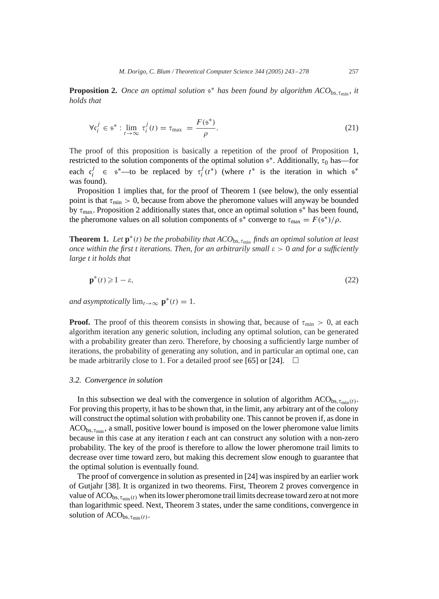<span id="page-14-0"></span>**Proposition 2.** *Once an optimal solution*  $s^*$  *has been found by algorithm ACO*<sub>bs, time, *it*</sub> *holds that*

$$
\forall \mathfrak{c}_i^j \in \mathfrak{s}^* : \lim_{t \to \infty} \tau_i^j(t) = \tau_{\text{max}} = \frac{F(\mathfrak{s}^*)}{\rho}.
$$
 (21)

The proof of this proposition is basically a repetition of the proof of Proposition [1,](#page-9-0) restricted to the solution components of the optimal solution  $s<sup>*</sup>$ . Additionally,  $\tau_0$  has—for each  $c_i^j \in \mathfrak{s}^*$  —to be replaced by  $\tau_i^j(t^*)$  (where  $t^*$  is the iteration in which  $\mathfrak{s}^*$ was found).

Proposition [1](#page-9-0) implies that, for the proof of Theorem 1 (see below), the only essential point is that  $\tau_{\min} > 0$ , because from above the pheromone values will anyway be bounded by  $\tau_{\text{max}}$ . Proposition [2](#page-13-0) additionally states that, once an optimal solution s<sup>\*</sup> has been found, the pheromone values on all solution components of  $\varsigma^*$  converge to  $\tau_{\text{max}} = F(\varsigma^*)/\rho$ .

**Theorem 1.** *Let*  $\mathbf{p}^*(t)$  *be the probability that*  $ACO_{\text{bs}, \tau_{\text{min}}}$  *finds an optimal solution at least*  $\omega$  *once within the first t iterations. Then, for an arbitrarily small*  $\varepsilon > 0$  *and for a sufficiently large t it holds that*

$$
\mathbf{p}^*(t) \geqslant 1 - \varepsilon,\tag{22}
$$

*and asymptotically*  $\lim_{t\to\infty} \mathbf{p}^*(t) = 1$ .

**Proof.** The proof of this theorem consists in showing that, because of  $\tau_{\text{min}} > 0$ , at each algorithm iteration any generic solution, including any optimal solution, can be generated with a probability greater than zero. Therefore, by choosing a sufficiently large number of iterations, the probability of generating any solution, and in particular an optimal one, can be made arbitrarily close to 1. For a detailed proof see [\[65\]](#page-35-0) or [\[24\].](#page-34-0)  $\Box$ 

### *3.2. Convergence in solution*

In this subsection we deal with the convergence in solution of algorithm  $ACO_{bs, \tau_{min}(t)}$ . For proving this property, it has to be shown that, in the limit, any arbitrary ant of the colony will construct the optimal solution with probability one. This cannot be proven if, as done in  $ACO_{bs, \tau_{min}}$ , a small, positive lower bound is imposed on the lower pheromone value limits because in this case at any iteration *t* each ant can construct any solution with a non-zero probability. The key of the proof is therefore to allow the lower pheromone trail limits to decrease over time toward zero, but making this decrement slow enough to guarantee that the optimal solution is eventually found.

The proof of convergence in solution as presented in [\[24\]](#page-34-0) was inspired by an earlier work of Gutjahr [\[38\].](#page-34-0) It is organized in two theorems. First, Theorem [2](#page-15-0) proves convergence in value of  $ACO_{bs, \tau_{min}(t)}$  when its lower pheromone trail limits decrease toward zero at not more than logarithmic speed. Next, Theorem [3](#page-15-0) states, under the same conditions, convergence in solution of  $ACO_{bs, \tau_{min}(t)}$ .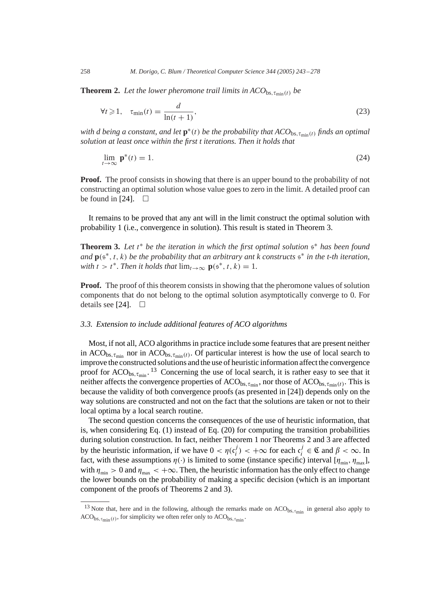<span id="page-15-0"></span>**Theorem 2.** Let the lower pheromone trail limits in  $ACO_{bs, \tau_{min}(t)}$  be

$$
\forall t \geqslant 1, \quad \tau_{\min}(t) = \frac{d}{\ln(t+1)},\tag{23}
$$

*with d being a constant, and let*  $\mathbf{p}^*(t)$  *be the probability that ACO*<sub>bs,  $\tau_{\min}(t)$  *finds an optimal*</sub> *solution at least once within the first t iterations. Then it holds that*

$$
\lim_{t \to \infty} \mathbf{p}^*(t) = 1. \tag{24}
$$

**Proof.** The proof consists in showing that there is an upper bound to the probability of not constructing an optimal solution whose value goes to zero in the limit. A detailed proof can be found in [\[24\].](#page-34-0)  $\Box$ 

It remains to be proved that any ant will in the limit construct the optimal solution with probability 1 (i.e., convergence in solution). This result is stated in Theorem 3.

**Theorem 3.** *Let* t<sup>∗</sup> *be the iteration in which the first optimal solution* s<sup>∗</sup> *has been found and*  $\mathbf{p}(s^*,t,k)$  *be the probability that an arbitrary ant k constructs*  $s^*$  *in the t-th iteration*, *with*  $t > t^*$ . *Then it holds that*  $\lim_{t\to\infty} \mathbf{p}(s^*, t, k) = 1$ .

**Proof.** The proof of this theorem consists in showing that the pheromone values of solution components that do not belong to the optimal solution asymptotically converge to 0. For details see [\[24\].](#page-34-0)  $\Box$ 

## *3.3. Extension to include additional features of ACO algorithms*

Most, if not all, ACO algorithms in practice include some features that are present neither in ACO<sub>bs,  $\tau_{\text{min}}$ </sub> nor in ACO<sub>bs,  $\tau_{\text{min}}(t)$ . Of particular interest is how the use of local search to</sub> improve the constructed solutions and the use of heuristic information affect the convergence proof for  $ACO_{bs, \tau_{min}}$ . <sup>13</sup> Concerning the use of local search, it is rather easy to see that it neither affects the convergence properties of  $ACO_{bs, \tau_{min}}$ , nor those of  $ACO_{bs, \tau_{min}(t)}$ . This is because the validity of both convergence proofs (as presented in [\[24\]\)](#page-34-0) depends only on the way solutions are constructed and not on the fact that the solutions are taken or not to their local optima by a local search routine.

The second question concerns the consequences of the use of heuristic information, that is, when considering Eq. [\(1\)](#page-6-0) instead of Eq. [\(20\)](#page-13-0) for computing the transition probabilities during solution construction. In fact, neither Theorem [1](#page-14-0) nor Theorems 2 and 3 are affected by the heuristic information, if we have  $0 < \eta(c_i^j) < +\infty$  for each  $c_i^j \in \mathfrak{C}$  and  $\beta < \infty$ . In fact, with these assumptions  $\eta(\cdot)$  is limited to some (instance specific) interval  $[\eta_{min}, \eta_{max}]$ , with  $\eta_{\text{min}} > 0$  and  $\eta_{\text{max}} < +\infty$ . Then, the heuristic information has the only effect to change the lower bounds on the probability of making a specific decision (which is an important component of the proofs of Theorems 2 and 3).

<sup>&</sup>lt;sup>13</sup> Note that, here and in the following, although the remarks made on  $ACO_{bs, \tau_{\text{min}}}$  in general also apply to  $ACO_{bs, \tau_{\text{min}}(t)}$ , for simplicity we often refer only to  $ACO_{bs, \tau_{\text{min}}}.$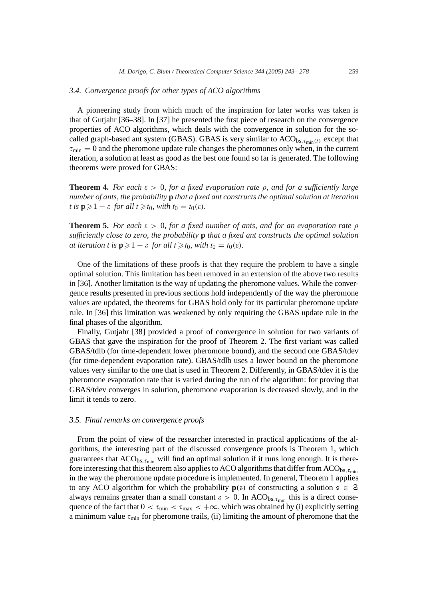#### *3.4. Convergence proofs for other types of ACO algorithms*

Apioneering study from which much of the inspiration for later works was taken is that of Gutjahr [\[36–38\].](#page-34-0) In [\[37\]](#page-34-0) he presented the first piece of research on the convergence properties of ACO algorithms, which deals with the convergence in solution for the socalled graph-based ant system (GBAS). GBAS is very similar to  $ACO_{bs, \tau_{min}(t)}$  except that  $\tau_{\text{min}} = 0$  and the pheromone update rule changes the pheromones only when, in the current iteration, a solution at least as good as the best one found so far is generated. The following theorems were proved for GBAS:

**Theorem 4.** For each  $\varepsilon > 0$ , for a fixed evaporation rate  $\rho$ , and for a sufficiently large *number of ants*, *the probability* **p** *that a fixed ant constructs the optimal solution at iteration*  $t$  is  $\mathbf{p} \geqslant 1 - \varepsilon$  *for all*  $t \geqslant t_0$ *, with*  $t_0 = t_0(\varepsilon)$ *.* 

**Theorem 5.** For each  $\varepsilon > 0$ , for a fixed number of ants, and for an evaporation rate  $\rho$ *sufficiently close to zero*, *the probability* **p** *that a fixed ant constructs the optimal solution at iteration t is*  $\mathbf{p} \geqslant 1 - \varepsilon$  *for all*  $t \geqslant t_0$ *, with*  $t_0 = t_0(\varepsilon)$ *.* 

One of the limitations of these proofs is that they require the problem to have a single optimal solution. This limitation has been removed in an extension of the above two results in [\[36\].](#page-34-0) Another limitation is the way of updating the pheromone values. While the convergence results presented in previous sections hold independently of the way the pheromone values are updated, the theorems for GBAS hold only for its particular pheromone update rule. In [\[36\]](#page-34-0) this limitation was weakened by only requiring the GBAS update rule in the final phases of the algorithm.

Finally, Gutjahr [\[38\]](#page-34-0) provided a proof of convergence in solution for two variants of GBAS that gave the inspiration for the proof of Theorem [2.](#page-15-0) The first variant was called GBAS/tdlb (for time-dependent lower pheromone bound), and the second one GBAS/tdev (for time-dependent evaporation rate). GBAS/tdlb uses a lower bound on the pheromone values very similar to the one that is used in Theorem [2.](#page-15-0) Differently, in GBAS/tdev it is the pheromone evaporation rate that is varied during the run of the algorithm: for proving that GBAS/tdev converges in solution, pheromone evaporation is decreased slowly, and in the limit it tends to zero.

## *3.5. Final remarks on convergence proofs*

From the point of view of the researcher interested in practical applications of the algorithms, the interesting part of the discussed convergence proofs is Theorem [1,](#page-14-0) which guarantees that  $ACO_{bs, \tau_{min}}$  will find an optimal solution if it runs long enough. It is therefore interesting that this theorem also applies to ACO algorithms that differ from ACO<sub>bs,  $\tau_{\text{min}}$ </sub> in the way the pheromone update procedure is implemented. In general, Theorem [1](#page-14-0) applies to any ACO algorithm for which the probability  $p(s)$  of constructing a solution  $s \in \mathfrak{S}$ always remains greater than a small constant  $\varepsilon > 0$ . In ACO<sub>bs,  $\tau_{\text{min}}$ </sub> this is a direct consequence of the fact that  $0 < \tau_{\text{min}} < \tau_{\text{max}} < +\infty$ , which was obtained by (i) explicitly setting a minimum value  $\tau_{\text{min}}$  for pheromone trails, (ii) limiting the amount of pheromone that the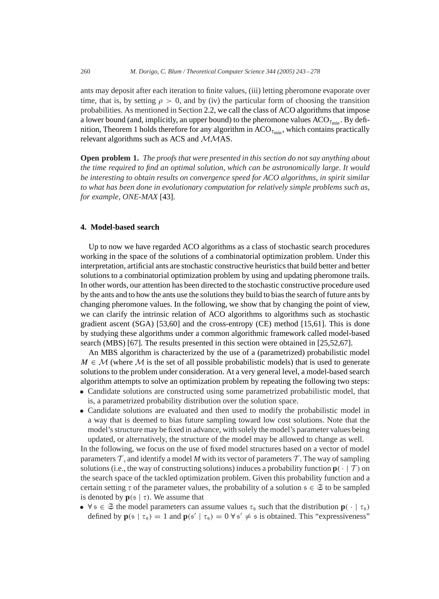<span id="page-17-0"></span>ants may deposit after each iteration to finite values, (iii) letting pheromone evaporate over time, that is, by setting  $\rho > 0$ , and by (iv) the particular form of choosing the transition probabilities. As mentioned in Section [2.2,](#page-7-0) we call the class of ACO algorithms that impose a lower bound (and, implicitly, an upper bound) to the pheromone values  $ACO_{\tau_{\min}}$ . By defi-nition, Theorem [1](#page-14-0) holds therefore for any algorithm in  $ACO<sub>taumin</sub>$ , which contains practically relevant algorithms such as ACS and MMAS.

**Open problem 1.** *The proofs that were presented in this section do not say anything about the time required to find an optimal solution*, *which can be astronomically large*. *It would be interesting to obtain results on convergence speed for ACO algorithms*, *in spirit similar to what has been done in evolutionary computation for relatively simple problems such as*, *for example*, *ONE-MAX* [\[43\].](#page-34-0)

## **4. Model-based search**

Up to now we have regarded ACO algorithms as a class of stochastic search procedures working in the space of the solutions of a combinatorial optimization problem. Under this interpretation, artificial ants are stochastic constructive heuristics that build better and better solutions to a combinatorial optimization problem by using and updating pheromone trails. In other words, our attention has been directed to the stochastic constructive procedure used by the ants and to how the ants use the solutions they build to bias the search of future ants by changing pheromone values. In the following, we show that by changing the point of view, we can clarify the intrinsic relation of ACO algorithms to algorithms such as stochastic gradient ascent (SGA) [\[53,60\]](#page-35-0) and the cross-entropy (CE) method [\[15](#page-33-0)[,61\].](#page-35-0) This is done by studying these algorithms under a common algorithmic framework called model-based search (MBS) [\[67\].](#page-35-0) The results presented in this section were obtained in [\[25,](#page-34-0)[52,67\].](#page-35-0)

An MBS algorithm is characterized by the use of a (parametrized) probabilistic model  $M \in \mathcal{M}$  (where M is the set of all possible probabilistic models) that is used to generate solutions to the problem under consideration. At a very general level, a model-based search algorithm attempts to solve an optimization problem by repeating the following two steps:

- Candidate solutions are constructed using some parametrized probabilistic model, that is, a parametrized probability distribution over the solution space.
- Candidate solutions are evaluated and then used to modify the probabilistic model in a way that is deemed to bias future sampling toward low cost solutions. Note that the model's structure may be fixed in advance, with solely the model's parameter values being updated, or alternatively, the structure of the model may be allowed to change as well.

In the following, we focus on the use of fixed model structures based on a vector of model parameters  $\mathcal T$ , and identify a model M with its vector of parameters  $\mathcal T$ . The way of sampling solutions (i.e., the way of constructing solutions) induces a probability function  $\mathbf{p}(\cdot | \mathcal{T})$  on the search space of the tackled optimization problem. Given this probability function and a certain setting  $\tau$  of the parameter values, the probability of a solution  $s \in \mathfrak{S}$  to be sampled is denoted by  $p(s | \tau)$ . We assume that

•  $\forall s \in \mathfrak{S}$  the model parameters can assume values  $\tau_s$  such that the distribution  $\mathbf{p}(\cdot | \tau_s)$ defined by  $\mathbf{p}(\mathfrak{s} \mid \tau_{\mathfrak{s}}) = 1$  and  $\mathbf{p}(\mathfrak{s}' \mid \tau_{\mathfrak{s}}) = 0 \ \forall \ \mathfrak{s}' \neq \mathfrak{s}$  is obtained. This "expressiveness"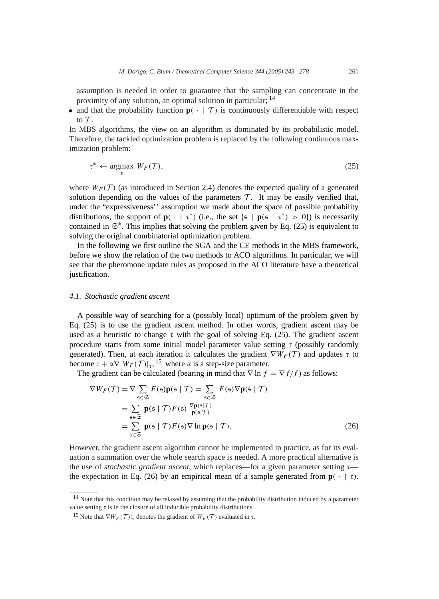<span id="page-18-0"></span>assumption is needed in order to guarantee that the sampling can concentrate in the proximity of any solution, an optimal solution in particular; <sup>14</sup>

• and that the probability function  $\mathbf{p}(\cdot | \mathcal{T})$  is continuously differentiable with respect to  $\mathcal T$ .

In MBS algorithms, the view on an algorithm is dominated by its probabilistic model. Therefore, the tackled optimization problem is replaced by the following continuous maximization problem:

$$
\tau^* \leftarrow \underset{\tau}{\text{argmax}} \ W_F(\mathcal{T}), \tag{25}
$$

where  $W_F(\mathcal{T})$  (as introduced in Section [2.4\)](#page-11-0) denotes the expected quality of a generated solution depending on the values of the parameters  $\mathcal{T}$ . It may be easily verified that, under the "expressiveness'' assumption we made about the space of possible probability distributions, the support of  $\mathbf{p}(\cdot | \tau^*)$  (i.e., the set {s |  $\mathbf{p}(s | \tau^*) > 0$ }) is necessarily contained in  $\mathfrak{S}^*$ . This implies that solving the problem given by Eq. (25) is equivalent to solving the original combinatorial optimization problem.

In the following we first outline the SGA and the CE methods in the MBS framework, before we show the relation of the two methods to ACO algorithms. In particular, we will see that the pheromone update rules as proposed in the ACO literature have a theoretical justification.

## *4.1. Stochastic gradient ascent*

Apossible way of searching for a (possibly local) optimum of the problem given by Eq. (25) is to use the gradient ascent method. In other words, gradient ascent may be used as a heuristic to change  $\tau$  with the goal of solving Eq. (25). The gradient ascent procedure starts from some initial model parameter value setting  $\tau$  (possibly randomly generated). Then, at each iteration it calculates the gradient  $\nabla W_F(\mathcal{T})$  and updates  $\tau$  to become  $\tau + \alpha \nabla W_F(\mathcal{T})|_{\tau}$ , <sup>15</sup> where  $\alpha$  is a step-size parameter.

The gradient can be calculated (bearing in mind that  $\nabla \ln f = \nabla f/f$ ) as follows:

$$
\nabla W_F(\mathcal{T}) = \nabla \sum_{s \in \mathfrak{S}} F(s) \mathbf{p}(s \mid \mathcal{T}) = \sum_{s \in \mathfrak{S}} F(s) \nabla \mathbf{p}(s \mid \mathcal{T})
$$
  
= 
$$
\sum_{s \in \mathfrak{S}} \mathbf{p}(s \mid \mathcal{T}) F(s) \frac{\nabla \mathbf{p}(s \mid \mathcal{T})}{\mathbf{p}(s \mid \mathcal{T})}
$$
  
= 
$$
\sum_{s \in \mathfrak{S}} \mathbf{p}(s \mid \mathcal{T}) F(s) \nabla \ln \mathbf{p}(s \mid \mathcal{T}).
$$
 (26)

However, the gradient ascent algorithm cannot be implemented in practice, as for its evaluation a summation over the whole search space is needed. Amore practical alternative is the use of *stochastic gradient ascent*, which replaces—for a given parameter setting  $\tau$  the expectation in Eq. (26) by an empirical mean of a sample generated from  $\mathbf{p}(\cdot | \tau)$ .

<sup>&</sup>lt;sup>14</sup> Note that this condition may be relaxed by assuming that the probability distribution induced by a parameter value setting  $\tau$  is in the closure of all inducible probability distributions.

<sup>&</sup>lt;sup>15</sup> Note that  $\nabla W_F(\mathcal{T})|_{\tau}$  denotes the gradient of  $W_F(\mathcal{T})$  evaluated in  $\tau$ .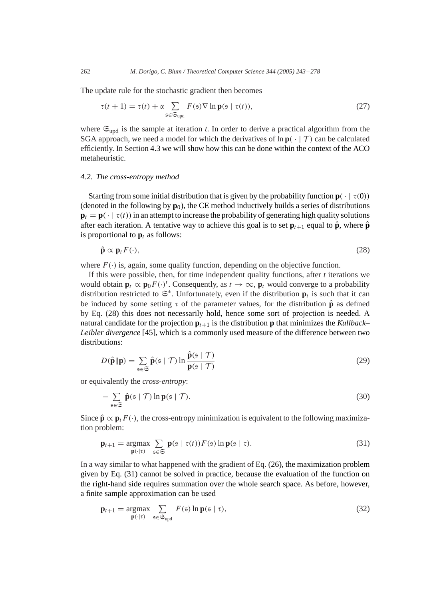The update rule for the stochastic gradient then becomes

$$
\tau(t+1) = \tau(t) + \alpha \sum_{\mathfrak{s} \in \mathfrak{S}_{\text{upd}}} F(\mathfrak{s}) \nabla \ln \mathbf{p}(\mathfrak{s} \mid \tau(t)),\tag{27}
$$

where  $\mathfrak{S}_{\text{upd}}$  is the sample at iteration *t*. In order to derive a practical algorithm from the SGA approach, we need a model for which the derivatives of  $\ln p(\cdot | \mathcal{T})$  can be calculated efficiently. In Section [4.3](#page-20-0) we will show how this can be done within the context of the ACO metaheuristic.

#### *4.2. The cross-entropy method*

Starting from some initial distribution that is given by the probability function  $\mathbf{p}(\cdot | \tau(0))$ (denoted in the following by  $\mathbf{p}_0$ ), the CE method inductively builds a series of distributions  $\mathbf{p}_t = \mathbf{p}(\cdot | \tau(t))$  in an attempt to increase the probability of generating high quality solutions after each iteration. A tentative way to achieve this goal is to set  $\mathbf{p}_{t+1}$  equal to  $\hat{\mathbf{p}}$ , where  $\hat{\mathbf{p}}$ is proportional to  $\mathbf{p}_t$  as follows:

$$
\hat{\mathbf{p}} \propto \mathbf{p}_t F(\cdot),\tag{28}
$$

where  $F(\cdot)$  is, again, some quality function, depending on the objective function.

If this were possible, then, for time independent quality functions, after *t* iterations we would obtain  $\mathbf{p}_t \propto \mathbf{p}_0 F(\cdot)^t$ . Consequently, as  $t \to \infty$ ,  $\mathbf{p}_t$  would converge to a probability distribution restricted to  $\mathfrak{S}^*$ . Unfortunately, even if the distribution  $\mathbf{p}_t$  is such that it can be induced by some setting  $\tau$  of the parameter values, for the distribution  $\hat{\bf p}$  as defined by Eq. (28) this does not necessarily hold, hence some sort of projection is needed. A natural candidate for the projection  $\mathbf{p}_{t+1}$  is the distribution **p** that minimizes the *Kullback*– *Leibler divergence* [\[45\],](#page-34-0) which is a commonly used measure of the difference between two distributions:

$$
D(\hat{\mathbf{p}} \|\mathbf{p}) = \sum_{s \in \mathfrak{S}} \hat{\mathbf{p}}(s \mid \mathcal{T}) \ln \frac{\hat{\mathbf{p}}(s \mid \mathcal{T})}{\mathbf{p}(s \mid \mathcal{T})}
$$
(29)

or equivalently the *cross-entropy*:

$$
-\sum_{\mathfrak{s}\in\mathfrak{S}}\hat{\mathbf{p}}(\mathfrak{s}\mid\mathcal{T})\ln\mathbf{p}(\mathfrak{s}\mid\mathcal{T}).\tag{30}
$$

Since  $\hat{\mathbf{p}} \propto \mathbf{p}_t F(\cdot)$ , the cross-entropy minimization is equivalent to the following maximization problem:

$$
\mathbf{p}_{t+1} = \underset{\mathbf{p}(\cdot|\tau)}{\operatorname{argmax}} \sum_{\mathbf{s}\in\mathfrak{S}} \mathbf{p}(\mathbf{s} \mid \tau(t)) F(\mathbf{s}) \ln \mathbf{p}(\mathbf{s} \mid \tau). \tag{31}
$$

In a way similar to what happened with the gradient of Eq. [\(26\)](#page-18-0), the maximization problem given by Eq. (31) cannot be solved in practice, because the evaluation of the function on the right-hand side requires summation over the whole search space. As before, however, a finite sample approximation can be used

$$
\mathbf{p}_{t+1} = \underset{\mathbf{p}(\cdot|\tau)}{\text{argmax}} \sum_{\mathbf{s} \in \mathfrak{S}_{\text{upd}}} F(\mathbf{s}) \ln \mathbf{p}(\mathbf{s} \mid \tau), \tag{32}
$$

<span id="page-19-0"></span>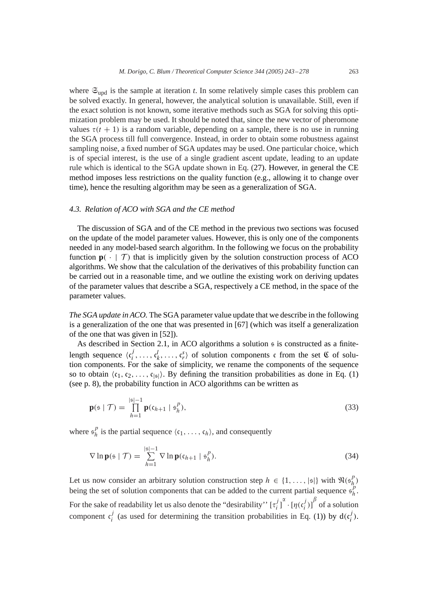<span id="page-20-0"></span>where  $\mathfrak{S}_{\text{upd}}$  is the sample at iteration *t*. In some relatively simple cases this problem can be solved exactly. In general, however, the analytical solution is unavailable. Still, even if the exact solution is not known, some iterative methods such as SGA for solving this optimization problem may be used. It should be noted that, since the new vector of pheromone values  $\tau(t + 1)$  is a random variable, depending on a sample, there is no use in running the SGA process till full convergence. Instead, in order to obtain some robustness against sampling noise, a fixed number of SGA updates may be used. One particular choice, which is of special interest, is the use of a single gradient ascent update, leading to an update rule which is identical to the SGAupdate shown in Eq. [\(27\)](#page-19-0). However, in general the CE method imposes less restrictions on the quality function (e.g., allowing it to change over time), hence the resulting algorithm may be seen as a generalization of SGA.

## *4.3. Relation of ACO with SGA and the CE method*

The discussion of SGAand of the CE method in the previous two sections was focused on the update of the model parameter values. However, this is only one of the components needed in any model-based search algorithm. In the following we focus on the probability function  $\mathbf{p}(\cdot | \mathcal{T})$  that is implicitly given by the solution construction process of ACO algorithms. We show that the calculation of the derivatives of this probability function can be carried out in a reasonable time, and we outline the existing work on deriving updates of the parameter values that describe a SGA, respectively a CE method, in the space of the parameter values.

*The SGA update in ACO.* The SGA parameter value update that we describe in the following is a generalization of the one that was presented in [\[67\]](#page-35-0) (which was itself a generalization of the one that was given in [\[52\]\)](#page-35-0).

As described in Section [2.1,](#page-5-0) in ACO algorithms a solution  $\frac{1}{5}$  is constructed as a finitelength sequence  $\langle c_i^j, \ldots, c_k^l, \ldots, c_r^s \rangle$  of solution components c from the set  $\mathfrak C$  of solution components. For the sake of simplicity, we rename the components of the sequence so to obtain  $\langle c_1, c_2, \ldots, c_{|s|} \rangle$ . By defining the transition probabilities as done in Eq. [\(1\)](#page-6-0) (see p. 8), the probability function in ACO algorithms can be written as

$$
\mathbf{p}(\mathfrak{s} \mid \mathcal{T}) = \prod_{h=1}^{|\mathfrak{s}|-1} \mathbf{p}(\mathfrak{c}_{h+1} \mid \mathfrak{s}_h^p),\tag{33}
$$

where  $s_h^p$  is the partial sequence  $\langle c_1, \ldots, c_h \rangle$ , and consequently

$$
\nabla \ln \mathbf{p}(\mathfrak{s} \mid \mathcal{T}) = \sum_{h=1}^{|\mathfrak{s}|-1} \nabla \ln \mathbf{p}(\mathfrak{c}_{h+1} \mid \mathfrak{s}_h^p).
$$
 (34)

Let us now consider an arbitrary solution construction step  $h \in \{1, ..., |\mathfrak{s}|\}$  with  $\mathfrak{R}(\mathfrak{s}_h^p)$ being the set of solution components that can be added to the current partial sequence  $\hat{s}_h^p$ . For the sake of readability let us also denote the "desirability"  $[\tau_i^j]^\alpha \cdot [\eta(\mathfrak{c}_i^j)]^\beta$  of a solution component  $c_i^j$  (as used for determining the transition probabilities in Eq. [\(1\)](#page-6-0)) by  $d(c_i^j)$ .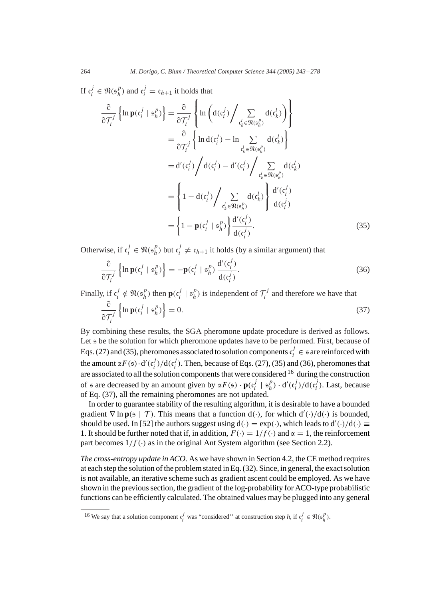If  $c_i^j \in \mathfrak{N}(s_h^p)$  and  $c_i^j = c_{h+1}$  it holds that

$$
\frac{\partial}{\partial \mathcal{T}_i^j} \left\{ \ln \mathbf{p}(\mathbf{c}_i^j \mid \mathbf{s}_h^p) \right\} = \frac{\partial}{\partial \mathcal{T}_i^j} \left\{ \ln \left( \mathbf{d}(\mathbf{c}_i^j) / \sum_{c_k^j \in \mathfrak{N}(\mathbf{s}_h^p)} \mathbf{d}(\mathbf{c}_k^j) \right) \right\}
$$
\n
$$
= \frac{\partial}{\partial \mathcal{T}_i^j} \left\{ \ln \mathbf{d}(\mathbf{c}_i^j) - \ln \sum_{c_k^j \in \mathfrak{N}(\mathbf{s}_h^p)} \mathbf{d}(\mathbf{c}_k^j) \right\}
$$
\n
$$
= \mathbf{d}'(\mathbf{c}_i^j) / \mathbf{d}(\mathbf{c}_i^j) - \mathbf{d}'(\mathbf{c}_i^j) / \sum_{c_k^j \in \mathfrak{N}(\mathbf{s}_h^p)} \mathbf{d}(\mathbf{c}_k^j)
$$
\n
$$
= \left\{ 1 - \mathbf{d}(\mathbf{c}_i^j) / \sum_{c_k^j \in \mathfrak{N}(\mathbf{s}_h^p)} \mathbf{d}(\mathbf{c}_k^j) \right\} \frac{\mathbf{d}'(\mathbf{c}_i^j)}{\mathbf{d}(\mathbf{c}_i^j)}
$$
\n
$$
= \left\{ 1 - \mathbf{p}(\mathbf{c}_i^j \mid \mathbf{s}_h^p) \right\} \frac{\mathbf{d}'(\mathbf{c}_i^j)}{\mathbf{d}(\mathbf{c}_i^j)}.
$$
\n(35)

Otherwise, if  $c_i^j \in \mathfrak{N}(s_h^p)$  but  $c_i^j \neq c_{h+1}$  it holds (by a similar argument) that

$$
\frac{\partial}{\partial \mathcal{T}_i^j} \left\{ \ln \mathbf{p}(\mathbf{c}_i^j \mid \mathbf{s}_h^p) \right\} = -\mathbf{p}(\mathbf{c}_i^j \mid \mathbf{s}_h^p) \frac{d'(\mathbf{c}_i^j)}{d(\mathbf{c}_i^j)}.
$$
\n(36)

Finally, if  $c_i^j \notin \mathfrak{N}(s_h^p)$  then  $\mathbf{p}(c_i^j \mid s_h^p)$  is independent of  $\mathcal{T}_i^j$  and therefore we have that

$$
\frac{\partial}{\partial \mathcal{T}_i^j} \left\{ \ln \mathbf{p}(\mathbf{c}_i^j \mid \mathbf{s}_h^p) \right\} = 0. \tag{37}
$$

By combining these results, the SGA pheromone update procedure is derived as follows. Let  $\overline{s}$  be the solution for which pheromone updates have to be performed. First, because of Eqs. [\(27\)](#page-19-0) and [\(35\)](#page-20-0), pheromones associated to solution components  $c_i^j \in \mathfrak{s}$  are reinforced with the amount  $\alpha F(\mathfrak{s}) \cdot d'(\mathfrak{c}_i^j)/d(\mathfrak{c}_i^j)$ . Then, because of Eqs. [\(27\)](#page-19-0), [\(35\)](#page-20-0) and [\(36\)](#page-20-0), pheromones that are associated to all the solution components that were considered  $16$  during the construction of s are decreased by an amount given by  $\alpha F(s) \cdot \mathbf{p}(c_i^j \mid s_h^p) \cdot d'(c_i^j) / d(c_i^j)$ . Last, because of Eq. [\(37\)](#page-20-0), all the remaining pheromones are not updated.

In order to guarantee stability of the resulting algorithm, it is desirable to have a bounded gradient  $\nabla \ln \mathbf{p}(s \mid \mathcal{T})$ . This means that a function  $d(\cdot)$ , for which  $d'(\cdot)/d(\cdot)$  is bounded, should be used. In [\[52\]](#page-35-0) the authors suggest using  $d(\cdot) = \exp(\cdot)$ , which leads to  $d'(\cdot)/d(\cdot) \equiv$ 1. It should be further noted that if, in addition,  $F(\cdot) = 1/f(\cdot)$  and  $\alpha = 1$ , the reinforcement part becomes  $1/f(\cdot)$  as in the original Ant System algorithm (see Section [2.2\)](#page-7-0).

*The cross-entropy update in ACO.* As we have shown in Section [4.2,](#page-19-0) the CE method requires at each step the solution of the problem stated in Eq. [\(32\)](#page-19-0). Since, in general, the exact solution is not available, an iterative scheme such as gradient ascent could be employed. As we have shown in the previous section, the gradient of the log-probability for ACO-type probabilistic functions can be efficiently calculated. The obtained values may be plugged into any general

<sup>&</sup>lt;sup>16</sup> We say that a solution component  $c_i^j$  was "considered" at construction step *h*, if  $c_i^j \in \mathfrak{N}(s_h^p)$ .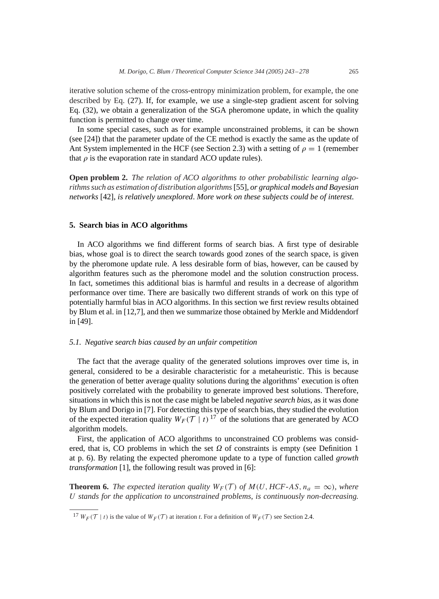<span id="page-22-0"></span>iterative solution scheme of the cross-entropy minimization problem, for example, the one described by Eq. [\(27\)](#page-19-0). If, for example, we use a single-step gradient ascent for solving Eq.  $(32)$ , we obtain a generalization of the SGA pheromone update, in which the quality function is permitted to change over time.

In some special cases, such as for example unconstrained problems, it can be shown (see [\[24\]\)](#page-34-0) that the parameter update of the CE method is exactly the same as the update of Ant System implemented in the HCF (see Section [2.3\)](#page-9-0) with a setting of  $\rho = 1$  (remember that  $\rho$  is the evaporation rate in standard ACO update rules).

**Open problem 2.** *The relation of ACO algorithms to other probabilistic learning algorithms such as estimation of distribution algorithms*[\[55\],](#page-35-0) *or graphical models and Bayesian networks* [\[42\],](#page-34-0) *is relatively unexplored*. *More work on these subjects could be of interest.*

#### **5. Search bias in ACO algorithms**

In ACO algorithms we find different forms of search bias. A first type of desirable bias, whose goal is to direct the search towards good zones of the search space, is given by the pheromone update rule. Aless desirable form of bias, however, can be caused by algorithm features such as the pheromone model and the solution construction process. In fact, sometimes this additional bias is harmful and results in a decrease of algorithm performance over time. There are basically two different strands of work on this type of potentially harmful bias in ACO algorithms. In this section we first review results obtained by Blum et al. in [\[12,7\],](#page-33-0) and then we summarize those obtained by Merkle and Middendorf in [\[49\].](#page-35-0)

## *5.1. Negative search bias caused by an unfair competition*

The fact that the average quality of the generated solutions improves over time is, in general, considered to be a desirable characteristic for a metaheuristic. This is because the generation of better average quality solutions during the algorithms' execution is often positively correlated with the probability to generate improved best solutions. Therefore, situations in which this is not the case might be labeled *negative search bias*, as it was done by Blum and Dorigo in [\[7\].](#page-33-0) For detecting this type of search bias, they studied the evolution of the expected iteration quality  $W_F(\mathcal{T} | t)^{17}$  of the solutions that are generated by ACO algorithm models.

First, the application of ACO algorithms to unconstrained CO problems was considered, that is, CO problems in which the set  $\Omega$  of constraints is empty (see Definition [1](#page-4-0) at p. 6). By relating the expected pheromone update to a type of function called *growth transformation* [\[1\],](#page-33-0) the following result was proved in [\[6\]:](#page-33-0)

**Theorem 6.** *The expected iteration quality*  $W_F(\mathcal{T})$  *of*  $M(U, HCF-AS, n_a = \infty)$ , *where* U *stands for the application to unconstrained problems*, *is continuously non-decreasing.*

<sup>&</sup>lt;sup>17</sup>  $W_F(\mathcal{T} | t)$  is the value of  $W_F(\mathcal{T})$  at iteration *t*. For a definition of  $W_F(\mathcal{T})$  see Section [2.4.](#page-11-0)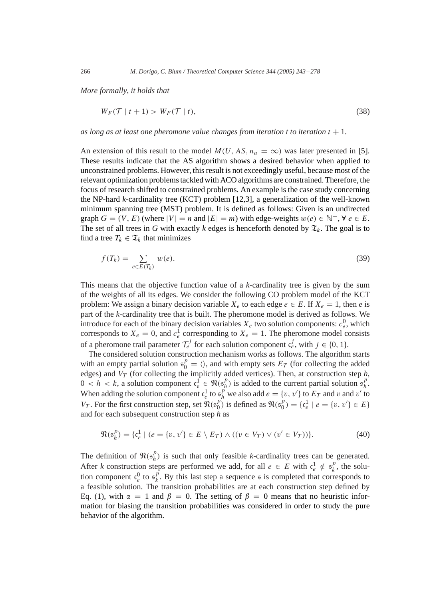*More formally*, *it holds that*

$$
W_F(\mathcal{T} \mid t+1) > W_F(\mathcal{T} \mid t), \tag{38}
$$

as long as at least one pheromone value changes from iteration t to iteration  $t + 1$ .

An extension of this result to the model  $M(U, AS, n_a = \infty)$  was later presented in [\[5\].](#page-33-0) These results indicate that the AS algorithm shows a desired behavior when applied to unconstrained problems. However, this result is not exceedingly useful, because most of the relevant optimization problems tackled with ACO algorithms are constrained. Therefore, the focus of research shifted to constrained problems. An example is the case study concerning the NP-hard *k*-cardinality tree (KCT) problem [\[12,3\],](#page-33-0) a generalization of the well-known minimum spanning tree (MST) problem. It is defined as follows: Given is an undirected graph  $G = (V, E)$  (where  $|V| = n$  and  $|E| = m$ ) with edge-weights  $w(e) \in \mathbb{N}^+$ ,  $\forall e \in E$ . The set of all trees in *G* with exactly *k* edges is henceforth denoted by  $\mathfrak{T}_k$ . The goal is to find a tree  $T_k \in \mathfrak{T}_k$  that minimizes

$$
f(T_k) = \sum_{e \in E(T_k)} w(e). \tag{39}
$$

This means that the objective function value of a *k*-cardinality tree is given by the sum of the weights of all its edges. We consider the following CO problem model of the KCT problem: We assign a binary decision variable  $X_e$  to each edge  $e \in E$ . If  $X_e = 1$ , then *e* is part of the *k*-cardinality tree that is built. The pheromone model is derived as follows. We introduce for each of the binary decision variables  $X_e$  two solution components:  $c_e^0$ , which corresponds to  $X_e = 0$ , and  $c_e^1$  corresponding to  $X_e = 1$ . The pheromone model consists of a pheromone trail parameter  $\mathcal{T}_{e}^{j}$  for each solution component  $c_{e}^{j}$ , with  $j \in \{0, 1\}$ .

The considered solution construction mechanism works as follows. The algorithm starts with an empty partial solution  $s_0^p = \langle \rangle$ , and with empty sets  $E_T$  (for collecting the added edges) and  $V_T$  (for collecting the implicitly added vertices). Then, at construction step  $h$ ,  $0 < h < k$ , a solution component  $c_e^1 \in \mathfrak{N}(s_h^p)$  is added to the current partial solution  $s_h^p$ . When adding the solution component  $c_e^1$  to  $s_h^p$  we also add  $e = \{v, v'\}$  to  $E_T$  and v and v' to  $V_T$ . For the first construction step, set  $\mathfrak{N}(s_0^p)$  is defined as  $\mathfrak{N}(s_0^p) = \{c_e^1 \mid e = \{v, v'\} \in E\}$ and for each subsequent construction step *h* as

$$
\mathfrak{N}(\mathfrak{s}_h^p) = \{ \mathfrak{c}_e^1 \mid (e = \{v, v'\} \in E \setminus E_T) \land ((v \in V_T) \lor (v' \in V_T)) \}. \tag{40}
$$

The definition of  $\Re(s_h^p)$  is such that only feasible *k*-cardinality trees can be generated. After *k* construction steps are performed we add, for all  $e \in E$  with  $c_e^1 \notin s_k^p$ , the solution component  $c_e^0$  to  $s_k^p$ . By this last step a sequence s is completed that corresponds to a feasible solution. The transition probabilities are at each construction step defined by Eq. [\(1\)](#page-6-0), with  $\alpha = 1$  and  $\beta = 0$ . The setting of  $\beta = 0$  means that no heuristic information for biasing the transition probabilities was considered in order to study the pure behavior of the algorithm.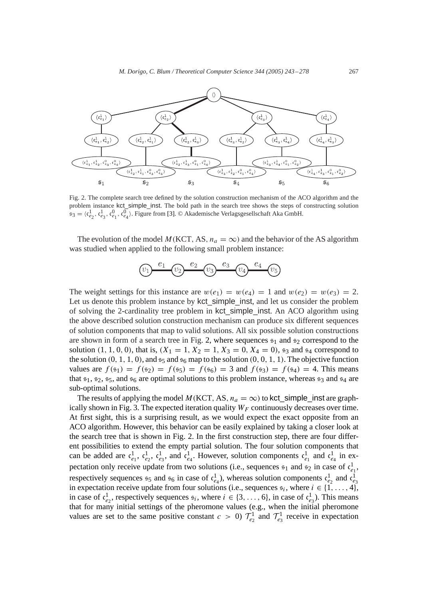

Fig. 2. The complete search tree defined by the solution construction mechanism of the ACO algorithm and the problem instance kct\_simple\_inst. The bold path in the search tree shows the steps of constructing solution  $\mathbf{s}_3 = \langle \mathfrak{c}^1_{e_2}, \mathfrak{c}^1_{e_3}, \mathfrak{c}^0_{e_4}, \mathfrak{c}^0_{e_4} \rangle$ . Figure from [\[3\].](#page-33-0) © Akademische Verlagsgesellschaft Aka GmbH.

The evolution of the model  $M(KCT, AS, n_a = \infty)$  and the behavior of the AS algorithm was studied when applied to the following small problem instance:



The weight settings for this instance are  $w(e_1) = w(e_4) = 1$  and  $w(e_2) = w(e_3) = 2$ . Let us denote this problem instance by kct\_simple\_inst, and let us consider the problem of solving the 2-cardinality tree problem in kct\_simple\_inst. An ACO algorithm using the above described solution construction mechanism can produce six different sequences of solution components that map to valid solutions. All six possible solution constructions are shown in form of a search tree in Fig. 2, where sequences  $\mathfrak{s}_1$  and  $\mathfrak{s}_2$  correspond to the solution  $(1, 1, 0, 0)$ , that is,  $(X_1 = 1, X_2 = 1, X_3 = 0, X_4 = 0)$ ,  $\epsilon_3$  and  $\epsilon_4$  correspond to the solution  $(0, 1, 1, 0)$ , and  $\mathfrak{s}_5$  and  $\mathfrak{s}_6$  map to the solution  $(0, 0, 1, 1)$ . The objective function values are  $f(s_1) = f(s_2) = f(s_5) = f(s_6) = 3$  and  $f(s_3) = f(s_4) = 4$ . This means that  $s_1$ ,  $s_2$ ,  $s_5$ , and  $s_6$  are optimal solutions to this problem instance, whereas  $s_3$  and  $s_4$  are sub-optimal solutions.

The results of applying the model  $M(KCT, AS, n_a = \infty)$  to kct\_simple\_inst are graph-ically shown in Fig. [3.](#page-25-0) The expected iteration quality  $W_F$  continuously decreases over time. At first sight, this is a surprising result, as we would expect the exact opposite from an ACO algorithm. However, this behavior can be easily explained by taking a closer look at the search tree that is shown in Fig. 2. In the first construction step, there are four different possibilities to extend the empty partial solution. The four solution components that can be added are  $c_{e_1}^1$ ,  $c_{e_2}^1$ ,  $c_{e_3}^1$ , and  $c_{e_4}^1$ . However, solution components  $c_{e_1}^1$  and  $c_{e_4}^1$  in expectation only receive update from two solutions (i.e., sequences  $s_1$  and  $s_2$  in case of  $c_{e_1}^1$ , respectively sequences  $\epsilon_5$  and  $\epsilon_6$  in case of  $c_{e_4}^1$ ), whereas solution components  $c_{e_2}^1$  and  $c_{e_3}^1$ in expectation receive update from four solutions (i.e., sequences  $s_i$ , where  $i \in \{1, ..., 4\}$ , in case of  $c_{e_2}^1$ , respectively sequences  $s_i$ , where  $i \in \{3, ..., 6\}$ , in case of  $c_{e_3}^1$ ). This means that for many initial settings of the pheromone values (e.g., when the initial pheromone values are set to the same positive constant  $c > 0$ )  $\mathcal{T}_{e_2}^1$  and  $\mathcal{T}_{e_3}^1$  receive in expectation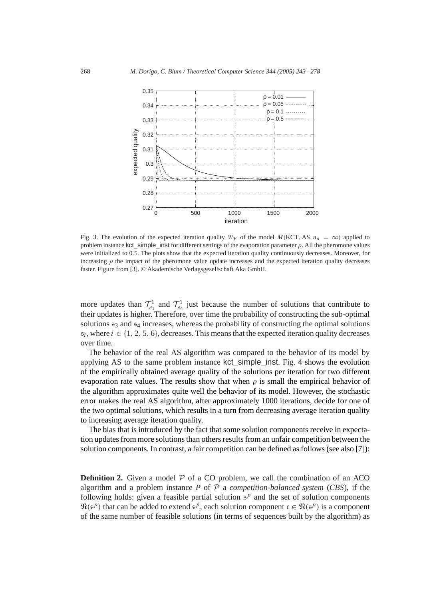<span id="page-25-0"></span>

Fig. 3. The evolution of the expected iteration quality  $W_F$  of the model  $M(KCT, AS, n_a = \infty)$  applied to problem instance kct\_simple\_inst for different settings of the evaporation parameter  $\rho$ . All the pheromone values were initialized to 0.5. The plots show that the expected iteration quality continuously decreases. Moreover, for increasing  $\rho$  the impact of the pheromone value update increases and the expected iteration quality decreases faster. Figure from [\[3\].](#page-33-0) © Akademische Verlagsgesellschaft Aka GmbH.

more updates than  $\mathcal{T}_{e_1}^1$  and  $\mathcal{T}_{e_4}^1$  just because the number of solutions that contribute to their updates is higher. Therefore, over time the probability of constructing the sub-optimal solutions  $\mathfrak{s}_3$  and  $\mathfrak{s}_4$  increases, whereas the probability of constructing the optimal solutions  $s_i$ , where  $i \in \{1, 2, 5, 6\}$ , decreases. This means that the expected iteration quality decreases over time.

The behavior of the real AS algorithm was compared to the behavior of its model by applying AS to the same problem instance kct\_simple\_inst. Fig. [4](#page-26-0) shows the evolution of the empirically obtained average quality of the solutions per iteration for two different evaporation rate values. The results show that when  $\rho$  is small the empirical behavior of the algorithm approximates quite well the behavior of its model. However, the stochastic error makes the real AS algorithm, after approximately 1000 iterations, decide for one of the two optimal solutions, which results in a turn from decreasing average iteration quality to increasing average iteration quality.

The bias that is introduced by the fact that some solution components receive in expectation updates from more solutions than others results from an unfair competition between the solution components. In contrast, a fair competition can be defined as follows (see also [\[7\]\)](#page-33-0):

**Definition 2.** Given a model  $P$  of a CO problem, we call the combination of an ACO algorithm and a problem instance *P* of P a *competition*-*balanced system* (*CBS*), if the following holds: given a feasible partial solution  $s^p$  and the set of solution components  $\mathfrak{N}(s^p)$  that can be added to extend  $s^p$ , each solution component  $c \in \mathfrak{N}(s^p)$  is a component of the same number of feasible solutions (in terms of sequences built by the algorithm) as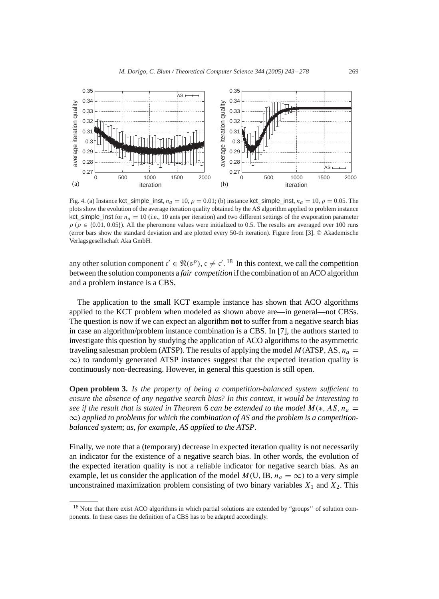<span id="page-26-0"></span>

Fig. 4. (a) Instance kct\_simple\_inst,  $n_a = 10$ ,  $\rho = 0.01$ ; (b) instance kct\_simple\_inst,  $n_a = 10$ ,  $\rho = 0.05$ . The plots show the evolution of the average iteration quality obtained by the AS algorithm applied to problem instance kct\_simple\_inst for  $n_a = 10$  (i.e., 10 ants per iteration) and two different settings of the evaporation parameter  $\rho$  ( $\rho \in \{0.01, 0.05\}$ ). All the pheromone values were initialized to 0.5. The results are averaged over 100 runs (error bars show the standard deviation and are plotted every 50-th iteration). Figure from [\[3\].](#page-33-0) © Akademische Verlagsgesellschaft Aka GmbH.

any other solution component  $c' \in \mathfrak{N}(\mathfrak{s}^p)$ ,  $c \neq c'$ . <sup>18</sup> In this context, we call the competition between the solution components a *fair competition* if the combination of an ACO algorithm and a problem instance is a CBS.

The application to the small KCT example instance has shown that ACO algorithms applied to the KCT problem when modeled as shown above are—in general—not CBSs. The question is now if we can expect an algorithm **not** to suffer from a negative search bias in case an algorithm/problem instance combination is a CBS. In [\[7\],](#page-33-0) the authors started to investigate this question by studying the application of ACO algorithms to the asymmetric traveling salesman problem (ATSP). The results of applying the model  $M(ATSP, AS, n_a =$  $\infty$ ) to randomly generated ATSP instances suggest that the expected iteration quality is continuously non-decreasing. However, in general this question is still open.

**Open problem 3.** *Is the property of being a competition-balanced system sufficient to ensure the absence of any negative search bias*? *In this context*, *it would be interesting to see if the result that is stated in Theorem* [6](#page-22-0) *can be extended to the model*  $M(*, AS, n_a =$ ∞) *applied to problems for which the combination of AS and the problem is a competitionbalanced system*; *as*, *for example*, *AS applied to the ATSP*.

Finally, we note that a (temporary) decrease in expected iteration quality is not necessarily an indicator for the existence of a negative search bias. In other words, the evolution of the expected iteration quality is not a reliable indicator for negative search bias. As an example, let us consider the application of the model  $M(U, IB, n_a = \infty)$  to a very simple unconstrained maximization problem consisting of two binary variables  $X_1$  and  $X_2$ . This

<sup>&</sup>lt;sup>18</sup> Note that there exist ACO algorithms in which partial solutions are extended by "groups" of solution components. In these cases the definition of a CBS has to be adapted accordingly.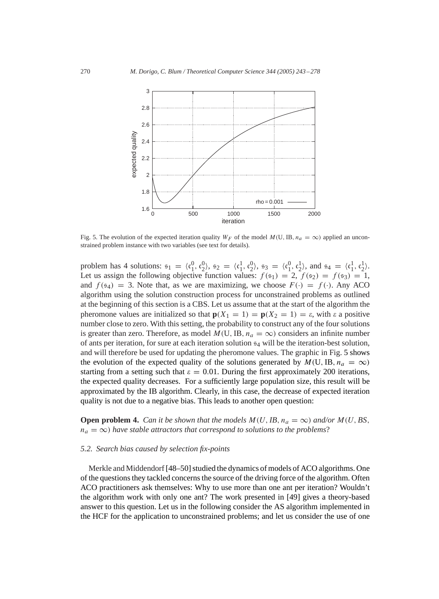

Fig. 5. The evolution of the expected iteration quality  $W_F$  of the model  $M(U, IB, n_a = \infty)$  applied an unconstrained problem instance with two variables (see text for details).

problem has 4 solutions:  $s_1 = (c_1^0, c_2^0), s_2 = (c_1^1, c_2^0), s_3 = (c_1^0, c_2^1),$  and  $s_4 = (c_1^1, c_2^1)$ . Let us assign the following objective function values:  $f(\mathfrak{s}_1) = 2$ ,  $f(\mathfrak{s}_2) = f(\mathfrak{s}_3) = 1$ , and  $f(\mathfrak{s}_4) = 3$ . Note that, as we are maximizing, we choose  $F(\cdot) = f(\cdot)$ . Any ACO algorithm using the solution construction process for unconstrained problems as outlined at the beginning of this section is a CBS. Let us assume that at the start of the algorithm the pheromone values are initialized so that  $p(X_1 = 1) = p(X_2 = 1) = \varepsilon$ , with  $\varepsilon$  a positive number close to zero. With this setting, the probability to construct any of the four solutions is greater than zero. Therefore, as model  $M(U, IB, n_a = \infty)$  considers an infinite number of ants per iteration, for sure at each iteration solution  $s_4$  will be the iteration-best solution, and will therefore be used for updating the pheromone values. The graphic in Fig. 5 shows the evolution of the expected quality of the solutions generated by  $M(U, IB, n_a = \infty)$ starting from a setting such that  $\varepsilon = 0.01$ . During the first approximately 200 iterations, the expected quality decreases. For a sufficiently large population size, this result will be approximated by the IB algorithm. Clearly, in this case, the decrease of expected iteration quality is not due to a negative bias. This leads to another open question:

**Open problem 4.** *Can it be shown that the models*  $M(U, IB, n_a = \infty)$  *and/or*  $M(U, BS, n_a = \infty)$  $n_a = \infty$ ) have stable attractors that correspond to solutions to the problems?

## *5.2. Search bias caused by selection fix-points*

Merkle and Middendorf[\[48–50\]](#page-35-0) studied the dynamics of models of ACO algorithms. One of the questions they tackled concerns the source of the driving force of the algorithm. Often ACO practitioners ask themselves: Why to use more than one ant per iteration? Wouldn't the algorithm work with only one ant? The work presented in [\[49\]](#page-35-0) gives a theory-based answer to this question. Let us in the following consider the AS algorithm implemented in the HCF for the application to unconstrained problems; and let us consider the use of one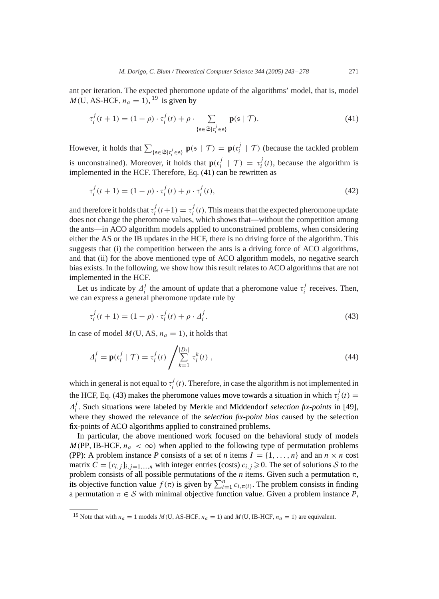ant per iteration. The expected pheromone update of the algorithms' model, that is, model  $M(U, AS-HCF, n_a = 1)$ , <sup>19</sup> is given by

$$
\tau_i^j(t+1) = (1-\rho) \cdot \tau_i^j(t) + \rho \cdot \sum_{\{\mathfrak{s} \in \mathfrak{S} \mid \mathfrak{c}_i^j \in \mathfrak{s}\}} \mathbf{p}(\mathfrak{s} \mid \mathcal{T}). \tag{41}
$$

However, it holds that  $\sum_{\{\mathfrak{s} \in \mathfrak{S} | \mathfrak{c}_i^j \in \mathfrak{s}\}} \mathbf{p}(\mathfrak{s} \mid \mathcal{T}) = \mathbf{p}(\mathfrak{c}_i^j \mid \mathcal{T})$  (because the tackled problem is unconstrained). Moreover, it holds that  $\mathbf{p}(c_i^j | \mathcal{T}) = \tau_i^j(t)$ , because the algorithm is implemented in the HCF. Therefore, Eq. (41) can be rewritten as

$$
\tau_i^j(t+1) = (1 - \rho) \cdot \tau_i^j(t) + \rho \cdot \tau_i^j(t), \tag{42}
$$

and therefore it holds that  $\tau_i^j(t+1) = \tau_i^j(t)$ . This means that the expected pheromone update does not change the pheromone values, which shows that—without the competition among the ants—in ACO algorithm models applied to unconstrained problems, when considering either the AS or the IB updates in the HCF, there is no driving force of the algorithm. This suggests that (i) the competition between the ants is a driving force of ACO algorithms, and that (ii) for the above mentioned type of ACO algorithm models, no negative search bias exists. In the following, we show how this result relates to ACO algorithms that are not implemented in the HCF.

Let us indicate by  $\Delta_i^j$  the amount of update that a pheromone value  $\tau_i^j$  receives. Then, we can express a general pheromone update rule by

$$
\tau_i^j(t+1) = (1-\rho) \cdot \tau_i^j(t) + \rho \cdot \Delta_i^j. \tag{43}
$$

In case of model  $M(U, AS, n_a = 1)$ , it holds that

$$
\Delta_i^j = \mathbf{p}(\mathfrak{c}_i^j \mid \mathcal{T}) = \tau_i^j(t) \left/ \sum_{k=1}^{|D_i|} \tau_i^k(t) \right., \tag{44}
$$

which in general is not equal to  $\tau_i^j(t)$ . Therefore, in case the algorithm is not implemented in the HCF, Eq. (43) makes the pheromone values move towards a situation in which  $\tau_i^j(t)$  =  $\Delta_i^j$ . Such situations were labeled by Merkle and Middendorf *selection fix-points* in [\[49\],](#page-35-0) where they showed the relevance of the *selection fix-point bias* caused by the selection fix-points of ACO algorithms applied to constrained problems.

In particular, the above mentioned work focused on the behavioral study of models  $M(\text{PP}, \text{IB-HCF}, n_a < \infty)$  when applied to the following type of permutation problems (PP): A problem instance P consists of a set of *n* items  $I = \{1, \ldots, n\}$  and an  $n \times n$  cost matrix  $C = [c_{i,j}]_{i,j=1,\dots,n}$  with integer entries (costs)  $c_{i,j} \ge 0$ . The set of solutions S to the problem consists of all possible permutations of the  $n$  items. Given such a permutation  $\pi$ , its objective function value  $f(\pi)$  is given by  $\sum_{i=1}^{n} c_{i,\pi(i)}$ . The problem consists in finding a permutation  $\pi \in S$  with minimal objective function value. Given a problem instance *P*,

<sup>&</sup>lt;sup>19</sup> Note that with  $n_a = 1$  models  $M(U, AS-HCF, n_a = 1)$  and  $M(U, IB-HCF, n_a = 1)$  are equivalent.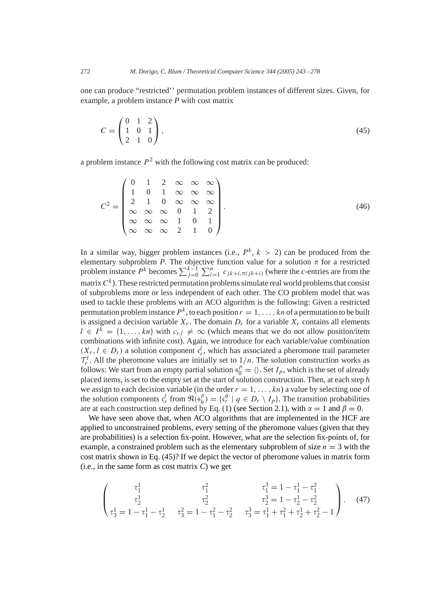one can produce "restricted'' permutation problem instances of different sizes. Given, for example, a problem instance *P* with cost matrix

$$
C = \begin{pmatrix} 0 & 1 & 2 \\ 1 & 0 & 1 \\ 2 & 1 & 0 \end{pmatrix},\tag{45}
$$

a problem instance  $P^2$  with the following cost matrix can be produced:

$$
C^{2} = \begin{pmatrix} 0 & 1 & 2 & \infty & \infty & \infty \\ 1 & 0 & 1 & \infty & \infty & \infty \\ 2 & 1 & 0 & \infty & \infty & \infty \\ \infty & \infty & \infty & 0 & 1 & 2 \\ \infty & \infty & \infty & 2 & 1 & 0 \end{pmatrix}.
$$
 (46)

In a similar way, bigger problem instances (i.e.,  $P^k$ ,  $k > 2$ ) can be produced from the elementary subproblem *P*. The objective function value for a solution  $\pi$  for a restricted problem instance  $P^k$  becomes  $\sum_{j=0}^{k-1} \sum_{i=1}^n c_{jk+i,\pi(jk+i)}$  (where the *c*-entries are from the matrix  $C<sup>k</sup>$ ). These restricted permutation problems simulate real world problems that consist of subproblems more or less independent of each other. The CO problem model that was used to tackle these problems with an ACO algorithm is the following: Given a restricted permutation problem instance  $P^k$ , to each position  $r = 1, \ldots, kn$  of a permutation to be built is assigned a decision variable  $X_r$ . The domain  $D_r$  for a variable  $X_r$  contains all elements  $l \in I^k = \{1, ..., kn\}$  with  $c_{r,l} \neq \infty$  (which means that we do not allow position/item combinations with infinite cost). Again, we introduce for each variable/value combination  $(X_r, l \in D_r)$  a solution component  $c_r^l$ , which has associated a pheromone trail parameter  $\mathcal{T}_r^l$ . All the pheromone values are initially set to  $1/n$ . The solution construction works as follows: We start from an empty partial solution  $s_0^p = \langle \rangle$ . Set  $I_p$ , which is the set of already placed items, is set to the empty set at the start of solution construction. Then, at each step *h* we assign to each decision variable (in the order  $r = 1, \ldots, kn$ ) a value by selecting one of the solution components  $c_r^l$  from  $\Re(s_h^p) = \{c_r^q \mid q \in D_r \setminus I_p\}$ . The transition probabilities are at each construction step defined by Eq. [\(1\)](#page-6-0) (see Section [2.1\)](#page-5-0), with  $\alpha = 1$  and  $\beta = 0$ .

We have seen above that, when ACO algorithms that are implemented in the HCF are applied to unconstrained problems, every setting of the pheromone values (given that they are probabilities) is a selection fix-point. However, what are the selection fix-points of, for example, a constrained problem such as the elementary subproblem of size  $n = 3$  with the cost matrix shown in Eq. (45)? If we depict the vector of pheromone values in matrix form (i.e., in the same form as cost matrix *C*) we get

$$
\begin{pmatrix} \tau_1^1 & \tau_1^2 & \tau_1^3 = 1 - \tau_1^1 - \tau_1^2 \\ \tau_2^1 & \tau_2^2 & \tau_2^3 = 1 - \tau_2^1 - \tau_2^2 \\ \tau_3^1 = 1 - \tau_1^1 - \tau_2^1 & \tau_3^2 = 1 - \tau_1^2 - \tau_2^2 & \tau_3^3 = \tau_1^1 + \tau_1^2 + \tau_2^1 + \tau_2^2 - 1 \end{pmatrix} . \tag{47}
$$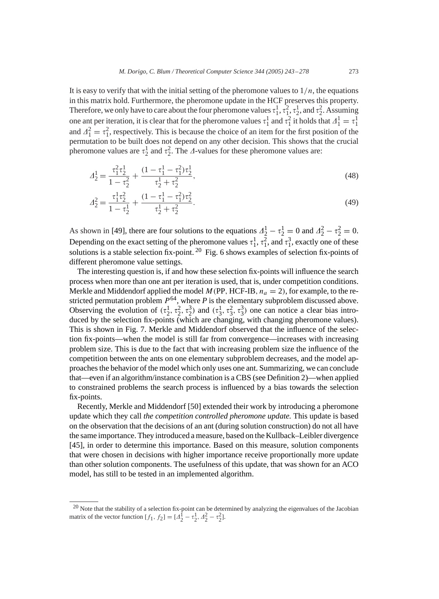It is easy to verify that with the initial setting of the pheromone values to  $1/n$ , the equations in this matrix hold. Furthermore, the pheromone update in the HCF preserves this property. Therefore, we only have to care about the four pheromone values  $\tau_1^1, \tau_1^2, \tau_2^1$ , and  $\tau_2^2$ . Assuming one ant per iteration, it is clear that for the pheromone values  $\tau_1^1$  and  $\tau_1^2$  it holds that  $\Lambda_1^1 = \tau_1^1$ and  $A_1^2 = \tau_1^2$ , respectively. This is because the choice of an item for the first position of the permutation to be built does not depend on any other decision. This shows that the crucial pheromone values are  $\tau_2^1$  and  $\tau_2^2$ . The  $\Delta$ -values for these pheromone values are:

$$
\Delta_2^1 = \frac{\tau_1^2 \tau_2^1}{1 - \tau_2^2} + \frac{(1 - \tau_1^1 - \tau_1^2)\tau_2^1}{\tau_2^1 + \tau_2^2},\tag{48}
$$

$$
\Delta_2^2 = \frac{\tau_1^1 \tau_2^2}{1 - \tau_2^1} + \frac{(1 - \tau_1^1 - \tau_1^2)\tau_2^2}{\tau_2^1 + \tau_2^2}.
$$
\n(49)

As shown in [\[49\],](#page-35-0) there are four solutions to the equations  $A_2^1 - \tau_2^1 = 0$  and  $A_2^2 - \tau_2^2 = 0$ . Depending on the exact setting of the pheromone values  $\tau_1^1$ ,  $\tau_1^2$ , and  $\tau_1^3$ , exactly one of these solutions is a stable selection fix-point. <sup>20</sup> Fig. [6](#page-31-0) shows examples of selection fix-points of different pheromone value settings.

The interesting question is, if and how these selection fix-points will influence the search process when more than one ant per iteration is used, that is, under competition conditions. Merkle and Middendorf applied the model  $M(\text{PP}, \text{HCF-IB}, n_a = 2)$ , for example, to the restricted permutation problem  $P^{64}$ , where  $P$  is the elementary subproblem discussed above. Observing the evolution of  $(\tau_2^1, \tau_2^2, \tau_2^3)$  and  $(\tau_3^1, \tau_3^2, \tau_3^3)$  one can notice a clear bias introduced by the selection fix-points (which are changing, with changing pheromone values). This is shown in Fig. [7.](#page-32-0) Merkle and Middendorf observed that the influence of the selection fix-points—when the model is still far from convergence—increases with increasing problem size. This is due to the fact that with increasing problem size the influence of the competition between the ants on one elementary subproblem decreases, and the model approaches the behavior of the model which only uses one ant. Summarizing, we can conclude that—even if an algorithm/instance combination is a CBS (see Definition [2\)](#page-25-0)—when applied to constrained problems the search process is influenced by a bias towards the selection fix-points.

Recently, Merkle and Middendorf [\[50\]](#page-35-0) extended their work by introducing a pheromone update which they call *the competition controlled pheromone update.* This update is based on the observation that the decisions of an ant (during solution construction) do not all have the same importance. They introduced a measure, based on the Kullback–Leibler divergence [\[45\],](#page-34-0) in order to determine this importance. Based on this measure, solution components that were chosen in decisions with higher importance receive proportionally more update than other solution components. The usefulness of this update, that was shown for an ACO model, has still to be tested in an implemented algorithm.

<sup>&</sup>lt;sup>20</sup> Note that the stability of a selection fix-point can be determined by analyzing the eigenvalues of the Jacobian matrix of the vector function  $[f_1, f_2] = [A_2^{\overline{1}} - \tau_2^1, A_2^2 - \tau_2^2]$ .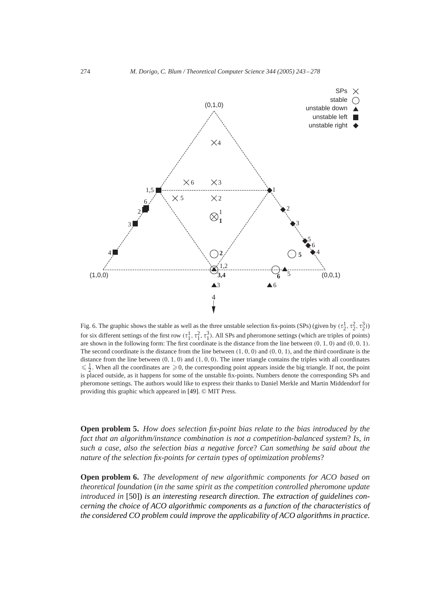<span id="page-31-0"></span>

Fig. 6. The graphic shows the stable as well as the three unstable selection fix-points (SPs) (given by  $(\tau_2^1, \tau_2^2, \tau_2^3)$ ) for six different settings of the first row  $(\tau_1^1, \tau_1^2, \tau_1^3)$ . All SPs and pheromone settings (which are triples of points) are shown in the following form: The first coordinate is the distance from the line between  $(0, 1, 0)$  and  $(0, 0, 1)$ . The second coordinate is the distance from the line between  $(1, 0, 0)$  and  $(0, 0, 1)$ , and the third coordinate is the distance from the line between  $(0, 1, 0)$  and  $(1, 0, 0)$ . The inner triangle contains the triples with all coordinates  $\leq \frac{1}{2}$ . When all the coordinates are  $\geq 0$ , the corresponding point appears inside the big triangle. If not, the point is placed outside, as it happens for some of the unstable fix-points. Numbers denote the corresponding SPs and pheromone settings. The authors would like to express their thanks to Daniel Merkle and Martin Middendorf for providing this graphic which appeared in [\[49\].](#page-35-0) © MIT Press.

**Open problem 5.** *How does selection fix-point bias relate to the bias introduced by the fact that an algorithm/instance combination is not a competition-balanced system*? *Is*, *in such a case*, *also the selection bias a negative force*? *Can something be said about the nature of the selection fix-points for certain types of optimization problems*?

**Open problem 6.** *The development of new algorithmic components for ACO based on theoretical foundation* (*in the same spirit as the competition controlled pheromone update introduced in* [\[50\]\)](#page-35-0) *is an interesting research direction*. *The extraction of guidelines concerning the choice of ACO algorithmic components as a function of the characteristics of the considered CO problem could improve the applicability of ACO algorithms in practice*.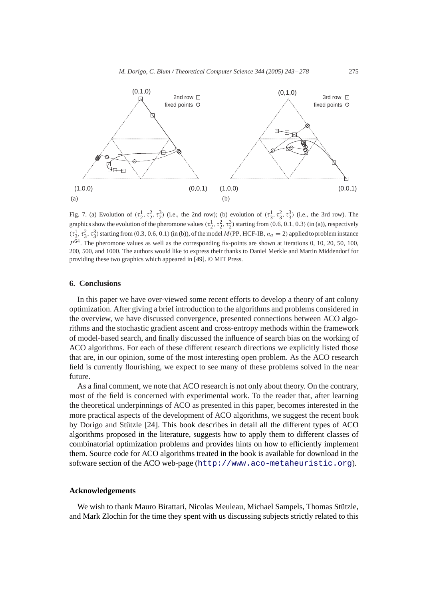<span id="page-32-0"></span>

Fig. 7. (a) Evolution of  $(\tau_2^1, \tau_2^2, \tau_2^3)$  (i.e., the 2nd row); (b) evolution of  $(\tau_3^1, \tau_3^2, \tau_3^3)$  (i.e., the 3rd row). The graphics show the evolution of the pheromone values  $(\tau_2^1, \tau_2^2, \tau_2^3)$  starting from (0.6, 0.1, 0.3) (in (a)), respectively  $(\tau_3^1, \tau_3^2, \tau_3^3)$  starting from (0.3, 0.6, 0.1) (in (b)), of the model *M* (PP, HCF-IB,  $n_a = 2$ ) applied to problem instance P64. The pheromone values as well as the corresponding fix-points are shown at iterations 0, 10, 20, 50, 100, 200, 500, and 1000. The authors would like to express their thanks to Daniel Merkle and Martin Middendorf for providing these two graphics which appeared in [\[49\].](#page-35-0) © MIT Press.

## **6. Conclusions**

In this paper we have over-viewed some recent efforts to develop a theory of ant colony optimization. After giving a brief introduction to the algorithms and problems considered in the overview, we have discussed convergence, presented connections between ACO algorithms and the stochastic gradient ascent and cross-entropy methods within the framework of model-based search, and finally discussed the influence of search bias on the working of ACO algorithms. For each of these different research directions we explicitly listed those that are, in our opinion, some of the most interesting open problem. As the ACO research field is currently flourishing, we expect to see many of these problems solved in the near future.

As a final comment, we note that ACO research is not only about theory. On the contrary, most of the field is concerned with experimental work. To the reader that, after learning the theoretical underpinnings of ACO as presented in this paper, becomes interested in the more practical aspects of the development of ACO algorithms, we suggest the recent book by Dorigo and Stützle [\[24\].](#page-34-0) This book describes in detail all the different types of ACO algorithms proposed in the literature, suggests how to apply them to different classes of combinatorial optimization problems and provides hints on how to efficiently implement them. Source code for ACO algorithms treated in the book is available for download in the software section of the ACO web-page (<http://www.aco-metaheuristic.org>).

#### **Acknowledgements**

We wish to thank Mauro Birattari, Nicolas Meuleau, Michael Sampels, Thomas Stützle, and Mark Zlochin for the time they spent with us discussing subjects strictly related to this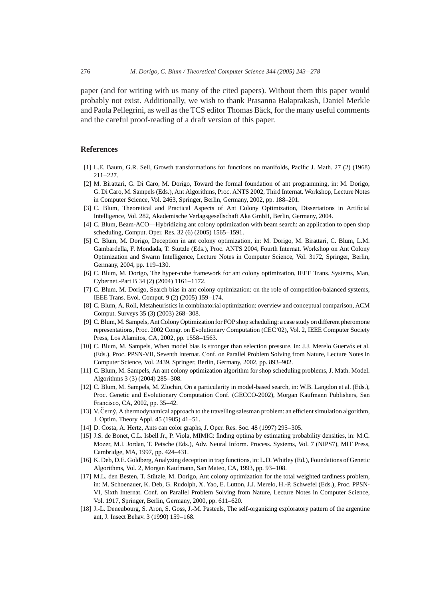<span id="page-33-0"></span>paper (and for writing with us many of the cited papers). Without them this paper would probably not exist. Additionally, we wish to thank Prasanna Balaprakash, Daniel Merkle and Paola Pellegrini, as well as the TCS editor Thomas Bäck, for the many useful comments and the careful proof-reading of a draft version of this paper.

# **References**

- [1] L.E. Baum, G.R. Sell, Growth transformations for functions on manifolds, Pacific J. Math. 27 (2) (1968) 211–227.
- [2] M. Birattari, G. Di Caro, M. Dorigo, Toward the formal foundation of ant programming, in: M. Dorigo, G. Di Caro, M. Sampels (Eds.), Ant Algorithms, Proc. ANTS 2002, Third Internat. Workshop, Lecture Notes in Computer Science, Vol. 2463, Springer, Berlin, Germany, 2002, pp. 188–201.
- [3] C. Blum, Theoretical and Practical Aspects of Ant Colony Optimization, Dissertations in Artificial Intelligence, Vol. 282, Akademische Verlagsgesellschaft Aka GmbH, Berlin, Germany, 2004.
- [4] C. Blum, Beam-ACO—Hybridizing ant colony optimization with beam search: an application to open shop scheduling, Comput. Oper. Res. 32 (6) (2005) 1565–1591.
- [5] C. Blum, M. Dorigo, Deception in ant colony optimization, in: M. Dorigo, M. Birattari, C. Blum, L.M. Gambardella, F. Mondada, T. Stützle (Eds.), Proc. ANTS 2004, Fourth Internat. Workshop on Ant Colony Optimization and Swarm Intelligence, Lecture Notes in Computer Science, Vol. 3172, Springer, Berlin, Germany, 2004, pp. 119–130.
- [6] C. Blum, M. Dorigo, The hyper-cube framework for ant colony optimization, IEEE Trans. Systems, Man, Cybernet.-Part B 34 (2) (2004) 1161–1172.
- [7] C. Blum, M. Dorigo, Search bias in ant colony optimization: on the role of competition-balanced systems, IEEE Trans. Evol. Comput. 9 (2) (2005) 159–174.
- [8] C. Blum, A. Roli, Metaheuristics in combinatorial optimization: overview and conceptual comparison, ACM Comput. Surveys 35 (3) (2003) 268–308.
- [9] C. Blum, M. Sampels, Ant Colony Optimization for FOP shop scheduling: a case study on different pheromone representations, Proc. 2002 Congr. on Evolutionary Computation (CEC'02), Vol. 2, IEEE Computer Society Press, Los Alamitos, CA, 2002, pp. 1558–1563.
- [10] C. Blum, M. Sampels, When model bias is stronger than selection pressure, in: J.J. Merelo Guervós et al. (Eds.), Proc. PPSN-VII, Seventh Internat. Conf. on Parallel Problem Solving from Nature, Lecture Notes in Computer Science, Vol. 2439, Springer, Berlin, Germany, 2002, pp. 893–902.
- [11] C. Blum, M. Sampels, An ant colony optimization algorithm for shop scheduling problems, J. Math. Model. Algorithms 3 (3) (2004) 285–308.
- [12] C. Blum, M. Sampels, M. Zlochin, On a particularity in model-based search, in: W.B. Langdon et al. (Eds.), Proc. Genetic and Evolutionary Computation Conf. (GECCO-2002), Morgan Kaufmann Publishers, San Francisco, CA, 2002, pp. 35–42.
- [13] V. Černý, A thermodynamical approach to the travelling salesman problem: an efficient simulation algorithm, J. Optim. Theory Appl. 45 (1985) 41–51.
- [14] D. Costa, A. Hertz, Ants can color graphs, J. Oper. Res. Soc. 48 (1997) 295-305.
- [15] J.S. de Bonet, C.L. Isbell Jr., P. Viola, MIMIC: finding optima by estimating probability densities, in: M.C. Mozer, M.I. Jordan, T. Petsche (Eds.), Adv. Neural Inform. Process. Systems, Vol. 7 (NIPS7), MIT Press, Cambridge, MA, 1997, pp. 424–431.
- [16] K. Deb, D.E. Goldberg, Analyzing deception in trap functions, in: L.D. Whitley (Ed.), Foundations of Genetic Algorithms, Vol. 2, Morgan Kaufmann, San Mateo, CA, 1993, pp. 93–108.
- [17] M.L. den Besten, T. Stützle, M. Dorigo, Ant colony optimization for the total weighted tardiness problem, in: M. Schoenauer, K. Deb, G. Rudolph, X. Yao, E. Lutton, J.J. Merelo, H.-P. Schwefel (Eds.), Proc. PPSN-VI, Sixth Internat. Conf. on Parallel Problem Solving from Nature, Lecture Notes in Computer Science, Vol. 1917, Springer, Berlin, Germany, 2000, pp. 611–620.
- [18] J.-L. Deneubourg, S. Aron, S. Goss, J.-M. Pasteels, The self-organizing exploratory pattern of the argentine ant, J. Insect Behav. 3 (1990) 159–168.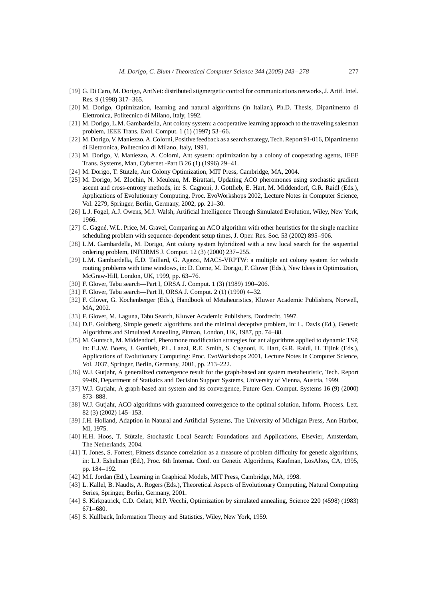- <span id="page-34-0"></span>[19] G. Di Caro, M. Dorigo, AntNet: distributed stigmergetic control for communications networks, J. Artif. Intel. Res. 9 (1998) 317–365.
- [20] M. Dorigo, Optimization, learning and natural algorithms (in Italian), Ph.D. Thesis, Dipartimento di Elettronica, Politecnico di Milano, Italy, 1992.
- [21] M. Dorigo, L.M. Gambardella, Ant colony system: a cooperative learning approach to the traveling salesman problem, IEEE Trans. Evol. Comput. 1 (1) (1997) 53–66.
- [22] M. Dorigo, V. Maniezzo, A. Colorni, Positive feedback as a search strategy, Tech. Report 91-016, Dipartimento di Elettronica, Politecnico di Milano, Italy, 1991.
- [23] M. Dorigo, V. Maniezzo, A. Colorni, Ant system: optimization by a colony of cooperating agents, IEEE Trans. Systems, Man, Cybernet.-Part B 26 (1) (1996) 29–41.
- [24] M. Dorigo, T. Stützle, Ant Colony Optimization, MIT Press, Cambridge, MA, 2004.
- [25] M. Dorigo, M. Zlochin, N. Meuleau, M. Birattari, Updating ACO pheromones using stochastic gradient ascent and cross-entropy methods, in: S. Cagnoni, J. Gottlieb, E. Hart, M. Middendorf, G.R. Raidl (Eds.), Applications of Evolutionary Computing, Proc. EvoWorkshops 2002, Lecture Notes in Computer Science, Vol. 2279, Springer, Berlin, Germany, 2002, pp. 21–30.
- [26] L.J. Fogel, A.J. Owens, M.J. Walsh, Artificial Intelligence Through Simulated Evolution, Wiley, New York, 1966.
- [27] C. Gagné, W.L. Price, M. Gravel, Comparing an ACO algorithm with other heuristics for the single machine scheduling problem with sequence-dependent setup times, J. Oper. Res. Soc. 53 (2002) 895–906.
- [28] L.M. Gambardella, M. Dorigo, Ant colony system hybridized with a new local search for the sequential ordering problem, INFORMS J. Comput. 12 (3) (2000) 237–255.
- [29] L.M. Gambardella, É.D. Taillard, G. Agazzi, MACS-VRPTW: a multiple ant colony system for vehicle routing problems with time windows, in: D. Corne, M. Dorigo, F. Glover (Eds.), New Ideas in Optimization, McGraw-Hill, London, UK, 1999, pp. 63–76.
- [30] F. Glover, Tabu search----Part I, ORSA J. Comput. 1 (3) (1989) 190-206.
- [31] F. Glover, Tabu search—Part II, ORSA J. Comput. 2 (1) (1990) 4-32.
- [32] F. Glover, G. Kochenberger (Eds.), Handbook of Metaheuristics, Kluwer Academic Publishers, Norwell, MA, 2002.
- [33] F. Glover, M. Laguna, Tabu Search, Kluwer Academic Publishers, Dordrecht, 1997.
- [34] D.E. Goldberg, Simple genetic algorithms and the minimal deceptive problem, in: L. Davis (Ed.), Genetic Algorithms and Simulated Annealing, Pitman, London, UK, 1987, pp. 74–88.
- [35] M. Guntsch, M. Middendorf, Pheromone modification strategies for ant algorithms applied to dynamic TSP, in: E.J.W. Boers, J. Gottlieb, P.L. Lanzi, R.E. Smith, S. Cagnoni, E. Hart, G.R. Raidl, H. Tijink (Eds.), Applications of Evolutionary Computing: Proc. EvoWorkshops 2001, Lecture Notes in Computer Science, Vol. 2037, Springer, Berlin, Germany, 2001, pp. 213–222.
- [36] W.J. Gutjahr, A generalized convergence result for the graph-based ant system metaheuristic, Tech. Report 99-09, Department of Statistics and Decision Support Systems, University of Vienna, Austria, 1999.
- [37] W.J. Gutjahr, A graph-based ant system and its convergence, Future Gen. Comput. Systems 16 (9) (2000) 873–888.
- [38] W.J. Gutjahr, ACO algorithms with guaranteed convergence to the optimal solution, Inform. Process. Lett. 82 (3) (2002) 145–153.
- [39] J.H. Holland, Adaption in Natural and Artificial Systems, The University of Michigan Press, Ann Harbor, MI, 1975.
- [40] H.H. Hoos, T. Stützle, Stochastic Local Search: Foundations and Applications, Elsevier, Amsterdam, The Netherlands, 2004.
- [41] T. Jones, S. Forrest, Fitness distance correlation as a measure of problem difficulty for genetic algorithms, in: L.J. Eshelman (Ed.), Proc. 6th Internat. Conf. on Genetic Algorithms, Kaufman, LosAltos, CA, 1995, pp. 184–192.
- [42] M.I. Jordan (Ed.), Learning in Graphical Models, MIT Press, Cambridge, MA, 1998.
- [43] L. Kallel, B. Naudts, A. Rogers (Eds.), Theoretical Aspects of Evolutionary Computing, Natural Computing Series, Springer, Berlin, Germany, 2001.
- [44] S. Kirkpatrick, C.D. Gelatt, M.P. Vecchi, Optimization by simulated annealing, Science 220 (4598) (1983) 671–680.
- [45] S. Kullback, Information Theory and Statistics, Wiley, New York, 1959.